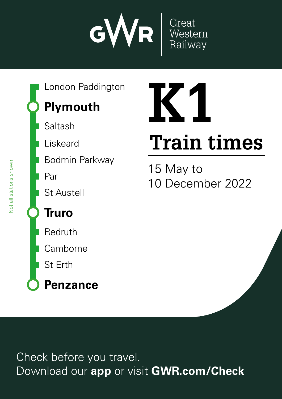

**Plymouth** London Paddington

Saltash

Liskeard

Bodmin Parkway

Par

St Austell

### **Truro**

Redruth

**Camborne** 

St Erth

**Penzance**

# **K1**

## **Train times**

15 May to 10 December 2022

Check before you travel. Download our **app** or visit **GWR.com/Check**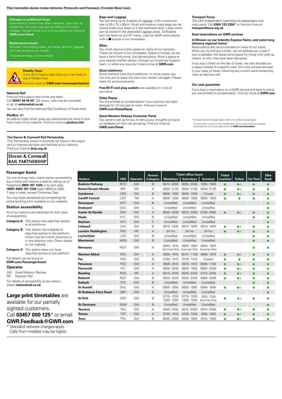#### **This timetable shows trains between Plymouth and Penzance (Cornish Main Line).**

#### **Changes to published times**

Improvement works may affect services, especially at<br>weekends. Services may also be different on public holidays. Always check your journey before you leave at **GWR.com/check** 

#### **Replacement buses**

Animals†, non-folding bikes, and large items of luggage<br>can't be carried on our buses. h Assistance dogs can be carried.



#### **Penalty Fares** If you don't have a valid ticket you may have to

pay a Penalty Fare.

Find out more at **GWR.com/revenueprotection GWR.com** 

#### **National Rail**

Find out more about train times and fares. Call **03457 48 49 50**\* (24 hours, calls may be recorded) or go to **nationalrail.co.uk** Standard network charges application of the higher. Calls from mobiles may be higher. The higher of the higher. The higher of the higher. The higher of the higher of the higher of the higher of the higher. The higher of th **03457 000 125\* GRAN<br>GWR**<br>TS times.<br>Search<br>Search Download our app to purchase the purchase time to purchase the check and checks are the checks and checks are the check and checks are the check and checks are the check and checks are  $\frac{1}{2}$  on  $\frac{1}{2}$  on  $\frac{1}{2}$  o <mark>ar</mark><br>m<br>nal Poss out of the miss of the miss of the miss of the miss of the miss of the miss of the miss of the miss of the miss of the miss of the miss of the miss of the miss of the miss of the miss of the miss of the miss of the mi

You can also find the National Rail Conditions of Travel here.

#### **PlusBus** ¬

**PlusBus .......**<br>An add-on ticket which gives you discounted bus travel to and from many of our stations. Find out more at **plusbus.info** op<br>dai<br>A ico<br>m<br>**er**:<br>ra es<br>Fil<br>**ail** 

#### **The Devon & Cornwall Rail Partnership**

This Partnership works to promote rail travel in the region and to improve services and facilities at our stations. Find out more at **dcrp.org.uk**



#### **Passenger Assist**

You can arrange help, check station accessibility, buy a ticket and reserve a seat by calling us on Freephone **0800 197 1329** or by text relay **18001 0800 197 1329** (open 0600 to 2300, 7 days a week, except Christmas Day).

You may book assistance by completing the online booking form available on our website.

#### **Station accessibility**

All of our stations are classified for their level of accessibility: **Category A:** This station has step-free access to all platforms

| <b>Category B:</b> This station has a degree of<br>step-free access to the platform,<br>which may be in both directions or<br>in one direction only. Check details<br>on our website |
|--------------------------------------------------------------------------------------------------------------------------------------------------------------------------------------|
| <b>Category C:</b> This station does not have                                                                                                                                        |

step-free access to any platform

Full details can be found at **GWR.com/PassengerAssist**

#### **Operator**

GW Great Western Railway NR Network Rail For details of accessibility at any station, check **nationalrail.co.uk**

#### **Large print timetables** are

available for our partially sighted customers.

#### Call **03457 000 125**\* or email **GWR.Feedback@GWR.com**

\* Standard network charges apply. Calls from mobiles may be higher.

#### **Bags and Luggage**

You can bring up to 3 pieces of luggage, with a maximum size of 30 x 70 x 90cm. Small and medium sized bags can be stored under your seats or in the overhead racks. Large items can be stored in the dedicated luggage areas. Surfboards can't be taken on our IET trains. Look for GWR trains shown with a  $\blacksquare$  symbol in our timetables.

#### **Bikes**

You must reserve a bike space on many of our services. These are shown in our timetables. Space is limited, so we have a strict first-come, first-served policy. Book a space at your nearest staffed station, through our Customer Support team, or when you buy your ticket online at **GWR.com**

#### **Short platforms**

Some stations have short platforms. In some cases, you can only join or leave the train from certain carriages. Please listen for announcements.

**Free Wi-Fi and plug sockets** are available on most of our trains. Fi<br>Du<br>D

#### **Delay Repay**

You are entitled to compensation if your journey has been delayed for 15 minutes or more. Find out more at **GWR.com/DelayRepay More information**<br> **More information**<br> **More information**<br> *More information* Y<sub>C</sub><br>G<br>G **been** 

#### **Great Western Railway Customer Panel**

Our panel is set up for you to tell us your thoughts and give us feedback on how we are doing. Find out more at **GWR.com/Panel** London Paddington

#### **Transport Focus**

The UK's independent watchdog for passengers and road users. Call **0300 123 2350**<sup>\*</sup> or find out more at **transportfocus.org.uk**

#### **Seat reservations on GWR services**

#### \$**(Shown on our Intercity Express Trains, and some long distance regional trains)**

Reservations are recommended on many of our trains. When you try and buy a ticket, we will allocate you a seat if one is available. We leave some space for those with walk-up tickets, or who may have been disrupted.

If you buy a ticket on the day of travel, we may allocate you a space instead of a specific seat. Sit in any unreserved seat<br>in your class of travel, following any current social distancing rules as best you can.

#### **Our seat guarantee**

If you have a reservation on a GWR service and have to stand, you are entitled to compensation. Find out more at **GWR.com** ru<br>**O**<br>If<br>yo  $15$  May  $15$ gı<br>10 ê<br>11 December Download our **app** or visit **GWR.com/Check**

\* Standard network charges apply. Calls from mobiles may be higher All information correct at time of publication. Errors and omissions excepted. Download the most up-to-date version at **GWR.com/timetables** wn<br>E

**Penzance**

Check before you travel.

|                              |            |                 | <b>Access</b>   |                          | <b>Ticket office hours</b> |                            | <b>Ticket</b> |                |                 | <b>Bike</b> |
|------------------------------|------------|-----------------|-----------------|--------------------------|----------------------------|----------------------------|---------------|----------------|-----------------|-------------|
| <b>Station</b>               | <b>CRS</b> | <b>Operator</b> | <b>Category</b> | <b>Weekdays</b>          | <b>Saturdays</b>           | <b>Sundays</b>             | machine       | <b>Toilets</b> | <b>Car Park</b> | Rack        |
| <b>Bodmin Parkway</b>        | <b>BOD</b> | GW              | B               | 0610-2000                | 0630-2000                  | 1035 - 1940                | ●             | $\bullet$      | $\bullet$       |             |
| <b>Bristol Temple Meads</b>  | <b>BRI</b> | <b>NR</b>       | Α               | 0530-2130                | 0530-2130                  | 0645-2130                  | C             | $\bullet$      | 0               |             |
| Camborne                     | <b>CBN</b> | GW              | B               | 0645-1400                | 0645-1400                  | Closed                     | $\bullet$     | $\bullet$      | $\bullet$       |             |
| <b>Cardiff Central</b>       | CDF        | <b>TW</b>       | Α               | 0630-1930                | 0630-1930                  | 0630-1930                  |               |                |                 |             |
| <b>Devonport</b>             | <b>DPT</b> | GW              | B               | Unstaffed                | Unstaffed                  | Unstaffed                  |               |                |                 |             |
| <b>Dockyard</b>              | <b>DOC</b> | GW              | С               | Unstaffed                | Unstaffed                  | Unstaffed                  |               |                |                 |             |
| <b>Exeter St Davids</b>      | <b>EXD</b> | GW              | A               | 0545-2040                | 0615-2000                  | 0730-2040                  |               | $\bullet$      |                 |             |
| Hayle                        | <b>HYL</b> | GW              | B               | Unstaffed                | Unstaffed                  | Unstaffed                  |               |                | O               |             |
| Keyham                       | <b>KEY</b> | GW              | $\mathsf{C}$    | Unstaffed                | Unstaffed                  | Unstaffed                  |               |                |                 |             |
| <b>Liskeard</b>              | LSK        | GW              | B               | 0615-1845                | 0615-1845                  | 0915-1645                  |               | $\bullet$      | Ο               |             |
| <b>London Paddington</b>     | PAD        | <b>NR</b>       | A               | 24 hrs                   | 24 hrs                     | 24 hrs                     |               | $\bullet$      | $\bullet$       |             |
| Lostwithiel                  | LOS        | GW              | B               | Unstaffed                | Unstaffed                  | Unstaffed                  |               |                | Ο               |             |
| <b>Menheniot</b>             | <b>MEN</b> | GW              | B               | Unstaffed                | Unstaffed                  | Unstaffed                  |               |                | $\bullet$       |             |
| Newquay                      | <b>NQY</b> | GW              | Α               | 0945-1515<br>Summer Only | 0900-1800<br>Summer Only   | 0930-1630<br>Summer Only   |               |                |                 |             |
| <b>Newton Abbot</b>          | <b>NTA</b> | GW              | A               | 0550-1910                | $0610 - 1750$              | 0845-1810                  | $\bullet$     | $\bullet$      | ●               | ●           |
| Par                          | PAR        | GW              | B               | 0720-1410                | 0720-1410                  | Closed                     |               |                | Δ               |             |
| <b>Penzance</b>              | PNZ        | GW              | A               | 0605-2010                | 0615-1810                  | 0845-1730                  | $\bullet$     | $\bullet$      | $\bullet$       |             |
| Plymouth                     | PLY        | GW              | А               | 0625-2000                | 0625-1900                  | 0800-2000                  | ٠             | ی ک            | Ο               |             |
| Reading                      | <b>RDG</b> | <b>NR</b>       | A               | 0515-2245                | 0530-2245                  | 0715 - 2245                | e             | $\bullet$      | $\bullet$       |             |
| Redruth                      | <b>RED</b> | GW              | B               | 0520-2020                | 0520-2020                  | 0900-2030                  |               | ی ک            | Ο               |             |
| <b>Saltash</b>               | <b>STS</b> | GW              | B               | Unstaffed                | Unstaffed                  | Unstaffed                  |               |                | $\bullet$       |             |
| <b>St Austell</b>            | SAU        | GW              | А               | 0550-1900                | 0650-1900                  | 0945-1645                  | ●             | $\bullet$      | Ο               |             |
| <b>St Budeaux Ferry Road</b> | <b>SBF</b> | GW              | B               | Unstaffed                | Unstaffed                  | Unstaffed                  |               |                |                 |             |
| <b>St Erth</b>               | <b>SER</b> | GW              | B               | 0715-1200<br>1230-1500   | 0715-1200<br>1230-1500     | 1015 - 1745<br>Summer Only |               | $\bullet$      |                 |             |
| <b>St Germans</b>            | <b>SGM</b> | GW              | B               | Unstaffed                | Unstaffed                  | Unstaffed                  |               |                |                 |             |
| <b>Taunton</b>               | <b>TAU</b> | GW              | Α               | 0450-0100                | 0610-2000                  | 0810-2000                  | Q             | ی ک            | O               |             |
| <b>Totnes</b>                | <b>TOT</b> | GW              | A               | 0725-1610                | 0725-1545                  | 1050-1825                  | $\bullet$     | $\bullet$      | $\bullet$       |             |
| Truro                        | <b>TRU</b> | GW              | B               | 0645-2005                | 0640-1905                  | 0915-1830                  | Ō             | ی ک            |                 |             |

**Plymouth**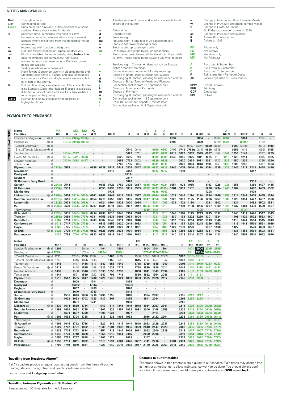#### **NOTES AND SYMBOLS**

| Bold         | Throuah service                                             | 志  | A trolley service of drinks and snacks is available for all |
|--------------|-------------------------------------------------------------|----|-------------------------------------------------------------|
| Light        | Connecting service                                          |    | or part of the journey                                      |
| Green        | Runs on certain days only, or has differences at some       |    |                                                             |
|              | stations. Please check notes for details                    | a  | Arrival time                                                |
| $^{\circ}$   | Minimum time, in minutes, you need to allow                 | d  | Departure time                                              |
|              | between connecting services (this is only shown at          | р  | Previous night                                              |
|              | stations where this differs from the standard 5 minute      | pu | Previous night. Stops to pick up passengers only            |
|              | allowance)                                                  | s  | Stops to set down passengers only                           |
| ٠            | Interchange with London Underground                         | u  | Stops to pick up passengers only                            |
| <b>MAG</b>   | Heritage railway connection. Operating days vary            | uf | On Fridays, only stops to pick up passengers                |
| æ            | PlusBus available. For more details, visit plusbus.info     | x  | Stops on request. Please tell the Conductor if you wish     |
| ▄            | Bike reservations are compulsory. First Class               |    | to leave. Please signal to the Driver if you wish to board  |
|              | accommodation, seat reservations, Wi-Fi and power           |    |                                                             |
|              | points are available                                        | c  | Previous night. Connection does not run on Sunday           |
| в            | Seat reservations recommended                               |    | nights / Monday mornings                                    |
| 皥            | Night Riviera Sleeper service with sleeping berths and      | е  | Connection does not run on Monday mornings                  |
|              | Standard Class seating. Sleeper and bike reservations       | f  | Change at Bristol Temple Meads and Taunton                  |
|              | are compulsory. Drinks and light snacks are available for   | g  | By changing at Taunton, passengers may depart at 0812       |
|              | all or part of the journey                                  | h  | Change at Bristol Temple Meads and Plymouth                 |
| $\mathsf{x}$ | Pullman fine dining available to First Class ticket holders |    | Connection applies from 12 September only                   |
|              | (also Standard Class ticket holders if space is available). | k  | Change at Taunton and Plymouth                              |
|              | A trolley service of drinks and snacks is also available    | m  | Change at Plymouth                                          |
|              | for all or part of the journey                              | n  | By changing at Taunton, passengers may depart at 0810       |
| 0815         | Pullman fine dining available when boarding at              | q  | Connection applies from 18 September only                   |
|              | highlighted times                                           | r  | From 18 September, departs 1 minute later                   |
|              |                                                             | t  | Connection applies until 11 September only                  |

#### vailable for all

- **v** Change at Taunton and Bristol Temple Meads
- **w** Change at Plymouth and Bristol Temple Meads **y** Change at Exeter St Davids
	-
- **z** On Fridays, connection arrives at 2320 **aa** Change at Plymouth and Taunton **ii** Arrives 6 minutes earlier
	-

**ij** Arrives at 1545

- **FO** Fridays only **FX** Not Fridays
- **MO** Mondays only<br>**MX** Not Mondays
	-
- **A** Runs until 9 September **B** Runs from 12 September
- **C** Runs until 11 September<br> **F** Train starts from Falmouth Docks **XC** Service operated by CrossCountry

**BPW** Bristol Parkway **EDB** Edinburgh **GCR** Gloucester **SIV** St Ives

| <b>Notes</b>                 |                | МX                |       | мx                | MО               | ХC   |         |      |                |         |      |        |      |                  |      |      |            |       |      |       |      |      |               |      |       |      |
|------------------------------|----------------|-------------------|-------|-------------------|------------------|------|---------|------|----------------|---------|------|--------|------|------------------|------|------|------------|-------|------|-------|------|------|---------------|------|-------|------|
| <b>Facilities</b>            |                | - IR              |       | 西                 | 囱                | ∎≖   |         | ∎⊡⊼  |                | в       | R    | ᠼ      | R    | B                | ∎в≂  | в    | в          | 旧志    | R    |       | ∎Ba  | П    | ∎в≖           | B    | B     | в    |
| London Paddington $\bullet$  | 15 d           |                   |       | 2345c 2345p 2350p |                  |      |         |      |                | $\cdot$ |      |        |      |                  | 0637 | ٠    |            | 0804  |      | 0904  | 0904 | ٠    | 1004          |      | 1104  |      |
| Reading                      | $①$ d          |                   |       | 0049e 0049u 0051u |                  |      |         |      |                |         |      |        |      |                  | 0703 |      |            | 0829  |      | 0929  | 0929 |      | <b>1029uf</b> |      | 1129  |      |
| Cardiff Central              | $(7)$ d        |                   |       |                   |                  |      |         |      |                |         |      |        |      |                  |      | 0628 | 0657f      | 0728f | 0800 | 0828h |      | 0900 | 0928f         |      | 1000k | 1100 |
| Bristol Temple Meads = 10 d  |                |                   |       |                   |                  |      |         |      |                | 0540    | 0640 |        | 0650 | 0650             | 0703 | 0749 | 0752g 0845 |       | 0856 | 0945  |      | 0956 | 1045          |      | 1055k | 1155 |
| Taunton æ                    | d              |                   | 0237e | 0237              |                  |      |         |      | $\blacksquare$ | 0622    | 0711 |        | 0737 | 0737             | 0818 | 0826 | 0857       | 0945  | 0957 | 1048  | 1048 | 1056 | 1146          |      | 1247  | 1255 |
| Exeter St Davids             | 6d             |                   | 0411e | 0411              | 0436             |      |         |      | 0625           | 0655    | 0743 |        | 0809 | 0809             | 0845 | 0855 | 0925       | 1011  | 1025 | 1116  | 1116 | 1125 | 1214          |      | 1315  | 1325 |
| Newton Abbot æ               | d              |                   | 0433e | 0433              | 0457             |      |         |      | 0652           | 0723    | 0802 |        | 0829 | 0829             |      | 0920 | 0951       | 1031  | 1051 | 1136  | 1136 | 1150 | 1236          |      | 1335  | 1350 |
| Totnes <i>≊</i> ∋₩n          |                |                   |       |                   |                  |      |         |      | 0705           | 0735    | 0814 |        | 0841 | 084              |      | 0933 | 1004       | 1043  | 1104 | 1148  | 1148 | 1203 | 1248          |      | 1347  | 1403 |
| Plymouth s                   |                | $d$ 2238 $p$      | 0535  |                   |                  | 0618 | 0639    | 0712 | 0743           | 0808    | 0847 | 0905   | 0913 | 0913             | 0945 | 1015 | 1044       | 1120  | 1144 | 1219  | 1225 | 1246 | 1317          | 1343 | 1418  | 1446 |
| Devonport                    | d              |                   |       |                   |                  |      |         | 0716 |                | 0812    |      |        | 0917 | 0917             |      | 1019 |            |       |      |       |      |      |               | 1347 |       |      |
| <b>Dockyard</b>              | d              |                   |       |                   |                  |      |         |      | $\cdot$        | 0814x   |      |        |      |                  |      |      |            |       |      |       |      |      |               |      |       |      |
| Keyham                       | d              |                   |       |                   |                  |      |         |      |                | 0817    |      |        |      |                  |      |      |            |       |      |       |      |      |               |      |       |      |
| <b>St Budeaux Ferry Road</b> |                |                   |       |                   |                  |      |         |      |                | 0820    |      |        |      |                  |      |      | 1050       |       |      |       |      |      |               | 1351 |       |      |
| <b>Saltash</b>               |                | 2247 <sub>p</sub> | 0544  |                   |                  |      | 0648    | 0723 | 0752           | 0825    | 0857 | 0915   |      | 0924             | 0954 | 1026 | 1055       |       | 1153 | 1228  | 1236 | 1255 |               | 1356 | 1427  | 1455 |
| <b>St Germans</b>            |                | $d$ 2254 $p$      | 0551  |                   |                  |      | 0655    | 0730 | 0759           | 0831    | 0905 | 0922   | 0931 | 0935ii           | 1001 | 1033 | 1101       |       | 1200 | 1234  | 1243 | 1302 |               | 1402 | 1433  | 1502 |
| <b>Menheniot</b>             | d              |                   |       |                   |                  |      | $\cdot$ | 0738 |                |         |      |        | 0938 | 0942             |      |      |            |       | 1208 |       |      |      |               | 1409 |       |      |
| Liskeard $\equiv$            |                | $6d$ d 2306p      |       |                   | 0604 0612s 0612s | 0641 | 0707    | 0747 | 0811           | 0843    | 0917 | 0935   | 0944 | 0948             | 1014 | 1045 | 1114       | 1144  | 1214 | 1246  | 1255 | 1314 | 1341          | 1415 | 1445  | 1514 |
| <b>Bodmin Parkway</b>        |                | $d$ 2318 $p$      |       |                   | 0616 0626s 0626s | 0654 | 0719    | 0759 | 0823           | 0855    | 0929 | 0947   | 0956 | 100 <sup>1</sup> | 1026 | 1057 | 1125       | 1156  |      | 1257  | 1308 | 1326 | 1354          | 1427 | 1457  | 1526 |
| Lostwithiel                  |                | $d$ 2323 $p$      |       | 0621 0633s 0633s  |                  |      | 0724    | 0804 | 0829           | 0900    | 0934 |        | 1001 | 1006             | 1031 | 1102 | 1130       |       | 1231 | 1302  |      | 1331 |               | 1432 | 1502  | 1531 |
| Par                          | $\circ$ d      | 2330 <sub>p</sub> | 0629  |                   | 0641s 0641s      | 0707 | 0731    | 0811 | 0836           | 0907    | 0941 | 1004ii | 1008 | 1013             |      | 1109 | 1138       | 1206  | 1237 | 1309  | 1325 | 1337 | 1404          | 1438 | 1509  | 1537 |
| Newquay s                    | $\overline{a}$ |                   |       |                   |                  |      |         | 0910 |                |         |      | 1049   | 1105 |                  |      |      |            | 1305  |      |       | 1417 |      | 1505i         |      |       |      |
| St Austell $\equiv$          |                | $d$ 2338 $p$      |       |                   | 0636 0649s 0649s | 0714 | 0738    | 0819 | 0843           | 0914    | 0948 |        | 1014 | 1019             | 1043 | 1116 | 1145       | 1213  | 1245 | 1317  |      | 1345 | 1411          | 1446 | 1517  | 1545 |
| Truro se                     |                | d 2355p           | 0659  |                   | 0707s 0707s      | 0731 | 0755    | 0836 | 0901           | 0931    | 1004 |        | 1031 | 1036             | 1100 | 1133 | 1202       | 1230  | 1301 | 1334  |      | 1401 | 1429          | 1502 | 1533  | 1601 |
| Redruth $\equiv$             |                | 0007              | 0710  |                   | 0720s 0720s      | 0743 | 0807    | 0848 | 0914           | 0943    | 1016 |        | 1043 | 1048             | 1112 | 1145 | 1214       | 1242  | 1313 | 1346  |      | 1413 | 1441          | 1514 | 1545  | 1613 |
| Camborne                     | d l            | 0013              | 0717  | 0728s 0728s       |                  |      | 0813    | 0855 | 0920           | 0949    | 1023 |        | 1049 | 1054             | 1119 | 1151 | 1220       | 1248  | 1319 | 1352  |      | 1419 | 1448          | 1520 | 1551  | 1619 |
| Hayle                        |                | 0022              | 0725  | 0737s 0737s       |                  |      | 0822    | 0904 | 0927           | 0957    | 1031 |        | 1057 | 1102             |      | 1159 | 1228       |       | 1327 | 1400  |      | 1427 |               | 1528 | 1600  | 1627 |
| <b>St Erth</b>               | $(2)$ d        | 0026              | 0729  |                   | 0742s 0742s      | 0803 | 0826    | 0908 | 0931           | 1001    | 1034 |        | 1101 | 1105             | 1131 | 1203 | 1231       | 1258  | 1331 | 1403  |      | 1431 | 1458          | 1531 | 1603  | 1631 |
| Penzance =                   |                | a   0035          | 0738  | 0754              | 0754             | 0812 | 0835    | 0919 | 0940           | 1010    | 1043 |        | 1110 | 1114             | 1140 | 1212 | 1240       | 1307  | 1340 | 1412  |      | 1440 | 1507          | 1540 | 1612  | 1640 |
|                              |                |                   |       |                   |                  |      |         |      |                |         |      |        |      |                  |      |      |            |       |      |       |      |      |               |      |       |      |

| <b>Notes</b>                 |                     |         |         |       |       |       |        |      |        |         | XC      |       |                      |       |                          |      | <b>FX</b>     | FO                | <b>FO</b>   | <b>FX</b>   |
|------------------------------|---------------------|---------|---------|-------|-------|-------|--------|------|--------|---------|---------|-------|----------------------|-------|--------------------------|------|---------------|-------------------|-------------|-------------|
| <b>Facilities</b>            |                     | ■⊓ਸਨ    |         | в     | R     |       | ∎в≖    | R    | ∎B     | R       | ∎≖      | ⊞⊓ਸਨ  | ∎B⊼ ∎B⊼              |       |                          | в    | - IR          | ∎BX               | 囱           | 囱           |
| London Paddington $\bullet$  | (15) d              | 1204    |         | ٠     | 1304m |       | 1404   |      | 1504   |         |         | 1604  | 1704                 | 1804  | ٠                        |      | 1904          | 1904              | 2345        | 2345        |
| Reading s                    | ⑦ d                 | 1229uf  | ٠       | ٠     | 329m  |       | 1429uf |      | 1529uf | ٠       |         |       | 1629uf 1729uf 1829uf |       | ٠                        |      | 193'          | 1931u 0049u 0049u |             |             |
| Cardiff Central              | $(7)$ d             | 1130f   |         | 1230h | 1300  | 1330h |        | 1400 | 1430f  | ٠       | 1530    | 1600f | 1627f                | 1727f |                          | 1800 |               | 1830h 1830h       |             |             |
| Bristol Temple Meads = 10 d  |                     | 1245    |         | 1345  | 1355  | 1445  |        | 1455 | 1545   | ٠       | 1645    | 1712  | 1745                 | 1847  |                          | 1857 | 1949          | 1949m             |             |             |
| Taunton ≞                    | d                   | 1346    | $\cdot$ | 1417  | 1456  | 1518  | 1547   | 1555 | 1649   | ٠       | 1718    | 1749  | 1848                 | 1949  |                          | 2001 | 2049          | 2049              | 0237        | 0237        |
| <b>Exeter St Davids</b>      | $\circledcirc$<br>d | 1412    | ٠       | 1448  | 1525  | 1548  | 1615   | 1628 | 1717   | ٠       | 1748    | 1820  | 1920                 | 2014  |                          | 2041 | 2118          | 2118              | 0411        | 0411        |
| Newton Abbot                 | d                   | 1432    | $\cdot$ | 1508  | 1546  | 1609  | 1635   | 1653 | 1738   | $\cdot$ | 1808    | 1841  | 1943                 | 2034  | $\cdot$                  | 2101 | 2139          | 2139              | 0433        | 0433        |
| Totnes <i>≊</i> ∋₩n          |                     | 1444    |         | 152   | 1559  | 1622  | 1647   | 1706 | 1749   |         | 1820    | 1852  | 1954                 | 2046  |                          | 2113 | $215^{\circ}$ | 2151              |             |             |
| Plvmouth <i>a</i> ∋          | d                   | 1515    | 1547    | 1555  | 1647  | 1700  | 1720   | 1746 | 1821   | 1830    | 1853    | 1925  | 2028                 | 2117  | ٠                        | 2146 | 2238          | 2238              |             |             |
| Devonport                    | d                   |         |         | 1600  | ٠.    | 1704  |        |      |        | 1834    |         |       |                      |       |                          |      |               |                   |             |             |
| <b>Dockyard</b>              | d                   |         | $\cdot$ | 1602x |       | 1706x |        |      |        | 1835x   |         |       |                      |       |                          |      |               |                   |             |             |
| Keyham                       | d                   |         | ٠       | 1607  |       | 1708  |        |      |        | 1840    |         |       |                      |       |                          |      |               |                   |             |             |
| <b>St Budeaux Ferry Road</b> | d                   |         |         | 1610  |       | 1710  |        |      |        | 1843    |         |       |                      |       |                          |      |               |                   |             |             |
| <b>Saltash</b>               | d                   | ٠       | 1556    | 1616  | 1656  | 1716  | 1730   | 1755 | ٠      | 1848    |         | 1934  | 2037                 |       | ٠                        | 2155 | 2247          | 2247              |             |             |
| <b>St Germans</b>            | d                   | $\cdot$ | 1602    | 1623  | 1702  | 1723  | 1737   | 1801 | ٠      | 1855    | $\cdot$ | 1941  | 2044                 | ٠     |                          | 2201 | 2254          | 2254              |             |             |
| <b>Menheniot</b>             | d                   |         |         | 1631  |       | 1731  |        |      |        | 1903    |         |       |                      |       |                          | 2208 |               |                   |             |             |
| Liskeard                     | 6d                  | 1539    | 1614    | 1639  | 1714  |       | 1749   | 1814 | 1845   | 1910    | 1918    | 1954  | 2057                 | 2141  | $\cdot$                  | 2214 | 2306          | 2306              | 0605s       | 0612s       |
| Bodmin Parkway = wi          | d                   | 1552    | 1626    | 1651  | 1725  |       | 1802   | 1826 | 1857   | 1922    | 1931    | 2006  | 2109                 | 2153  | ٠                        | 2226 | 2318          | 2318              | 0619s 0626s |             |
| Lostwithiel                  | d                   | ٠       | 1631    | 1657  | 1730  |       | 1808   | 1831 |        | 1927    | $\cdot$ |       | 2115                 |       | ٠                        | 2231 | 2323          | 2323              | 0626s       | 0633s       |
| Par                          | 3<br>d              | 1602    | 1638    | 1704  | 1738  |       | 1815   | 1838 | 1908   | 1933    |         | 2016  | 2122                 | 2204  |                          | 2238 | 2330          | 2330              |             | 0634s 0641s |
| Newquay s                    | a                   | 1705    |         |       |       |       | 1915   |      |        |         |         | 2121  |                      |       |                          |      |               |                   | 0743        | 0910        |
| St Austell s                 | d                   | 1609    | 1645    | 1712  | 1746  |       | 1822   | 1845 | 1915   | 1940    | 1949    | 2023  | 2129                 | 2211  |                          | 2245 | 2338          | 2338              | 0643s       | 0649s       |
| Truro s                      | d                   | 1627    | 1702    | 1731  | 1802  |       | 1839   | 1901 | 1932   | 1956    | 2009    | 2040  | 2147                 | 2228  | ٠                        | 2302 | 2355          | 2355              | 0703s       | 0707s       |
| Redruth $\equiv$             |                     | 1639    | 1714    | 1743  | 1814  |       | 1851   | 1913 | 1944   | 2009    | 2021    | 2052  | 2200                 | 2239  | $\overline{\phantom{a}}$ | 2313 | 0007          | 0007              | 0717s       | 0720s       |
| $Camborne \n\equiv$          | n                   | 1646    | 1720    | 1749  | 1820  |       | 1858   | 1919 | 1951   | 2015    |         | 2059  | 2206                 |       |                          | 2319 | 0013          | 0013              | 0724s       | 0728s       |
| Hayle                        |                     | 1655    | 1728    | 1757  | 1828  |       | 1907   | 1928 |        | 2023    |         | 2107  |                      |       |                          | 2328 | 0022          | 0022              | 0734s       | 0737s       |
| <b>St Erth</b>               | $(2)$ d             | 1659    | 1731    | 1801  | 1832  |       | 1913   | 1931 | 2001   | 2026    | 2037    | 2111  | 2216                 | ٠     | 2301                     | 2331 | 0026          | 0026              | 0739s       | 0742s       |
| Penzance some                | a                   | 1708    | 1740    | 1810  | 1841  |       | 1923   | 1940 | 2010   | 2035    | 2047    | 2120  | 2225                 | 2259  | 2311                     | 2340 | 0035          | 0035              | 0750        | 0754        |

#### **Travelling from Heathrow Airport?**

RailAir coaches provide a regular connecting coach from Heathrow Airport to Reading station. Through train and coach tickets are available. Find out more at **Firstgroup.com/railair**

#### **Changes to our timetables**

The times shown in this timetable are a guide to our services. Train times may change late at night or at weekends to allow maintenance work to be done. You should always confirm your train times online, less than 24 hours prior to travelling at **GWR.com/check**

**Travelling between Plymouth and St Budeaux?** Please see our D5 timetable for the full service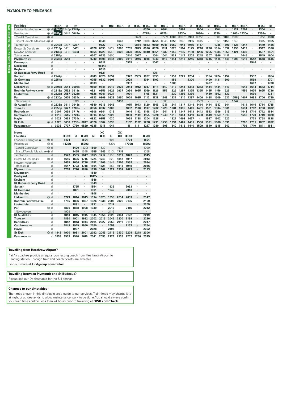#### **PLYMOUTH TO PENZANCE**

| <b>Facilities</b>            |              | $\blacksquare$ EX             | в    | 囱               |      |              | в            | - IR         | ⊟⊟ਨ  | в            | ■■墨          | ∎⊪ਸ਼ਨ        | в            | ⊞ਸ਼ਨ         | в            | ⊟ਸ਼ਨ         | в            | ∎⊞क          |              | ∎⊪ਸ਼ਨ        |              | ∎⊞∓     | ∎⊞ਨ          |              | ⊞⊞ਨ          | в            |
|------------------------------|--------------|-------------------------------|------|-----------------|------|--------------|--------------|--------------|------|--------------|--------------|--------------|--------------|--------------|--------------|--------------|--------------|--------------|--------------|--------------|--------------|---------|--------------|--------------|--------------|--------------|
| London Paddington $\bullet$  |              | <b>66 d 1904p 2345p 2345p</b> |      |                 |      |              |              |              |      |              |              | 0700         |              | 0804         |              | 0904         |              | 1004         |              | 1104         |              | 1137    | 1204         |              | 1304         |              |
| Reading s                    |              | 7 d 1931 pu 0049 0049u        |      |                 |      |              |              |              |      |              |              | 0728u        |              | 0829u        |              | 0930u        |              | 1030u        |              | 1130u        |              |         | 1205u 1230u  |              | 1330u        |              |
| Cardiff Central              | $(7)$ d      |                               |      |                 |      |              |              |              |      |              | 0629         |              |              | 0727f        | 0800         | 0827f        | 0900         | 0927f        |              | 1000         | 1100         | 1130f   |              |              | 1227f        | 1300         |
| Bristol Temple Meads = 10 d  |              |                               |      |                 |      |              | 0540         |              | 0640 |              | 0742         | 0810         | 0755         | 0845         | 0855         | 0945         | 0955         | 1045         |              | 1055         | 1155         | 1245    |              |              | 1345         | 1355         |
| Taunton <del>உ</del>         |              | d 2049p 0237                  |      | 0237            |      |              | 0627         |              | 0730 |              | 0814         | 0853         | 0859         | 0945         | 0952         | 1048         | 1055         | 1147         |              | 1245         | 1300         | 1328    | 1347         | $\cdot$      | 1449         | 1456         |
| Exeter St Davids             |              | 6 d 2118p 0411                |      | 0411            |      | 0628         | 0655         | 0722         | 0800 | 0755         | 0845         | 0920         | 0926         | 1011         | 1025         | 1114         | 1125         | 1216         | 1226         | 1314         | 1332         | 1358    | 1413         |              | 1517         | 1526         |
| Newton Abbot æ               |              | d $2139p$ 0433                |      | 0433            |      | 0654         | 0723         | 0748         | 0822 | 0828         | 0905         | 0940         | 0951         | 1032         | 1050         | 1135         | 1150         | 1236         | 1255         | 1334         | 1359         | 1421    | 1433         |              | 1537         | 1551         |
| Totnes som                   |              | $d$ 2151p                     |      |                 |      | 0707         | 0735         | 0800         |      | 0840         | 0917         |              | 1004         | 1044         | 1103         | 1147         | 1202         | 1248         | 1307         | 1346         | 141'         |         | 1445         |              | 1549         | 1604         |
| Plvmouth <i>a</i> ∋          |              | d 2238p 0518                  |      |                 |      | 0740         | 0808         | 0844         | 0900 | 0911         | 0946         | 1018         | 1043         | 1115         | 1144         | 1218         | 1245         | 1318         | 1345         | 1415         | 1445         | 1503    | 1518         | 1542         | 1618         | 1645         |
| Devonport                    | d            |                               |      |                 |      |              | 0812         |              |      | 0915         |              |              | 1047         |              |              |              |              |              |              |              |              |         |              | 1546         |              |              |
| <b>Dockyard</b>              | C            |                               |      |                 |      |              | 0814x        |              |      |              |              |              |              |              |              |              |              |              |              |              |              |         |              |              |              |              |
| Keyham                       | C            |                               |      |                 |      |              | 0818         |              |      |              |              |              |              |              |              |              |              |              |              |              |              |         |              |              |              |              |
| <b>St Budeaux Ferry Road</b> |              |                               |      |                 |      |              | 0821         | $\bullet$    |      |              |              |              | 1051         |              |              |              |              |              |              |              |              |         |              |              |              |              |
| <b>Saltash</b>               |              | d 2247 <sub>p</sub>           |      |                 |      | 0749         | 0826         | 0854         |      | 0922         | 0955         | 1027         | 1055         |              | 1153         | 122.         | 1254         |              | 1354         | 1424         | 1454         |         |              | 1552         |              | 1654         |
| <b>St Germans</b>            |              | d 2254p                       |      |                 |      | 0755         | 0832         | 0901         |      | 0929         |              | 1034         | 1102         | ٠            | 1159         |              | 1300         | $\cdot$      | 1400         | 1431         | 1500         |         |              | 1559         |              | 1701         |
| <b>Menheniot</b>             | Π            |                               |      |                 |      | 0803         |              |              |      | 0937         |              |              |              |              | 1206         |              |              |              | 1407         |              |              |         |              | 1607         |              | 1708         |
| Liskeard                     |              | $\circ$ d 2306p               | 0541 | 0605s           |      | 0809         | 0845         | 0913         | 0925 | 0944         | 1012         | 1047         | 1114         | 1140         | 1213         | 1244         | 1313         | 1343         | 1414         | 1444         | 1513         |         | 1543         | 1614         | 1643         | 1714         |
| <b>Bodmin Parkway</b>        |              | d 2318p 0552 0619s            |      |                 |      | 0821         | 0856         | 0926         | 0937 | 0956         | 1025         | 1059         | 1126         | 1152         | 1225         | 1257         | 1325         | 1355         | 1425         | 1456         | 1525         |         | 1555         | 1625         | 1655         | 1726         |
| Lostwithiel                  |              | d 2323p 0557 0626s            |      |                 |      | 0826         | 0901         | 0931         |      | 1001         |              | 1105         | 1131         | $\cdot$      | 1230         | 1302         | 1330         | $\cdot$      | 1430         | 1502         | 1530         | ٠       |              | 1630         |              | 1731         |
| Par                          |              | 3 d 2330p 0605 0634s          |      |                 |      | 0833         | 0909         | 0938         | 0950 | 1008         | 1035         | 1112         | 1138         | 1203         | 1237         | 1310         | 1337         | 1406         | 1438         | 1509         | 1537         | 1556ii  | 1607         | 1638         | 1706         | 1739         |
| Newquay some                 | $\mathsf{a}$ |                               |      | 0743            |      |              |              |              | 1036 | $\cdot$      |              |              |              | 1303         |              |              |              | 1503         |              |              |              | 1642    |              |              |              |              |
| St Austell $\equiv$          |              | $d$ 2338p 0611                |      | 0643s<br>0703s  |      | 0840         | 0915         | 0946<br>1003 |      | 1015         | 1043         | 1120         | 1145         | 1211         | 1244         | 1317         | 1344         | 1414         | 1444         | 1517         | 1544         |         | 1614         | 1645         | 1714         | 1745         |
| Truro s<br>Redruth $\equiv$  |              | $d$ 2355p 0627<br>0007        |      | 0639 0717s      |      | 0856<br>0908 | 0932<br>0944 | 1015         |      | 1032<br>1044 | 1100<br>1112 | 1137<br>1148 | 1202<br>1214 | 1229<br>1241 | 1301         | 1335<br>1347 | 1401         | 1431<br>1443 | 1501<br>1513 | 1534<br>1546 | 1601<br>1613 |         | 1631         | 1702<br>1714 | 1730<br>1742 | 1802<br>1814 |
| Camborne                     | C<br>d       | 0013                          |      | 0645 0724s      |      | 0914         | 0950         | 1022         |      | 1050         | 1119         | 1155         | 1220         | 1248         | 1313<br>1319 | 1354         | 1413<br>1419 | 1450         | 1519         | 1553         | 1619         | $\cdot$ | 1643<br>1650 | 1720         | 1749         | 1820         |
| Hayle                        |              | 0022                          |      | 0653 0734s      |      | 0922         | 0958         | 1030         |      | 1058         | 1128         | 1204         | 1228         |              | 1327         | 1403         | 1427         |              | 1527         | 1602         | 1627         |         |              | 1728         | 1758         | 1828         |
| <b>St Erth</b>               | $(2)$ d      | 0026                          |      | 0658 0739s 0817 |      | 0926         | 1002         | 1035         |      | 1102         | 1132         | 1208         | 1231         | 1259         | 1331         | 1407         | 1431         | 1500         | 1531         | 1606         | 1631         |         | 1700         | 1731         | 1802         | 1832         |
| Penzance se                  |              | 0035                          | 0707 | 0750            | 0829 | 0935         | 1011         | 1044         |      | 1111         | 1141         | 1217         | 1240         | 1308         | 1340         |              |              | 1509         | 1540         |              | 1640         |         | 1709         | 1740         | 1811         | 1841         |
|                              | a            |                               |      |                 |      |              |              |              |      |              |              |              |              |              |              | 1416         | 1440         |              |              | 1615         |              |         |              |              |              |              |
| <b>Notes</b>                 |              |                               |      |                 |      |              | XC           |              | XC   |              |              |              |              |              |              |              |              |              |              |              |              |         |              |              |              |              |

| ivotes                       |                    |                      |       |      |         |         | ᄮ       |       | ᄮ                    |         |                      |         |
|------------------------------|--------------------|----------------------|-------|------|---------|---------|---------|-------|----------------------|---------|----------------------|---------|
| <b>Facilities</b>            |                    |                      | ∎⊓ਸਨ  | в    | ∎в≖     | R       | ∎≖      | в     | ∎≖                   | ∎⊓ਸ਼ਨ   |                      | ∎⊓ਸਨ    |
| London Paddington $\bullet$  | <b>(15)</b><br>d   | ×,                   | 1404  | ٠    | 1504    | $\cdot$ |         | 1604  | $\cdot$              | 1704    | ×,                   | 1804    |
| Reading                      | $^{\circ}$<br>d    | $\cdot$              | 1429u |      | 1529u   | ٠       |         | 1629u |                      | 1730u   | $\cdot$              | 1829u   |
| Cardiff Central              | (7)<br>d           | ×,                   |       | 1400 | 1430f   | 1500    | 1530    | ٠     | 1627                 | ×       | ٠                    | 1700    |
| Bristol Temple Meads = 10    | d                  |                      | ä,    | 1455 | 1545    | 1555    | 1645    | 1710k | 1745                 |         | ×,                   | 1755    |
| Taunton <del>sa</del>        | d                  | ٠                    | 1547  | 1555 | 1647    | 1655    | 1717    | 1750  | 1817                 | 1847    |                      | 1945    |
| Exeter St Davids             | d<br>$6$           | $\cdot$              | 1615  | 1625 | 1715    | 1725    | 1749    | 1820  | 1847                 | 1917    | $\cdot$              | 2013    |
| Newton Abbot                 | d                  | ٠                    | 1635  | 1650 | 1736    | 1752    | 1809    | 1841  | 1906                 | 1938    | ×,                   | 2034    |
| Totnes <i>≊</i> ∋₩n          | d                  | $\cdot$              | 1647  | 1703 | 1748    | 1804    | 1821    | 1853  | 1918                 | 1949    | ٠                    | 2046    |
| Plvmouth =                   | d                  | ×,                   | 1718  | 1746 | 1820    | 1836    | 1902    | 1927  | 1951                 | 2023    | ×,                   | 2123    |
| Devonport                    | d                  |                      |       |      | ٠       | 1840    |         |       |                      |         | $\cdot$              | ×       |
| <b>Dockvard</b>              | d                  | $\blacksquare$       | ٠     |      | $\cdot$ | 1842x   | ٠       |       |                      | ×       | ٠                    |         |
| Keyham                       | d                  | ٠                    | ٠     | ٠    | ٠       | 1846    | ٠       | ٠     | ٠                    | $\cdot$ | $\cdot$              | ٠       |
| <b>St Budeaux Ferry Road</b> | d                  | ٠                    | ٠     | ٠    | ٠       | 1849    |         |       | $\cdot$              | ٠       | ٠                    | ٠       |
| <b>Saltash</b>               | d                  | ٠                    | ٠     | 1755 | ٠       | 1854    | ٠       | 1936  | ٠                    | 2033    | $\cdot$              | ٠       |
| <b>St Germans</b>            | d                  | $\cdot$              | ×,    | 1801 | ٠       | 1901    | ٠       | 1942  | ٠                    | 2040    | $\blacksquare$       | $\cdot$ |
| <b>Menheniot</b>             | d                  | $\cdot$              |       |      |         | 1908    |         |       |                      |         | $\cdot$              |         |
| Liskeard s                   | 6d                 | ×,                   | 1743  | 1814 | 1845    | 1914    | 1925    | 1955  | 2014                 | 2053    | $\ddot{\phantom{0}}$ | 2147    |
| <b>Bodmin Parkway</b>        | d                  | ٠                    | 1755  | 1826 | 1857    | 1926    | 1938    | 2006  | 2026                 | 2105    | ٠                    | 2159    |
| Lostwithiel                  | d                  | $\cdot$              | ٠     | 1831 | ٠       | 1931    | $\cdot$ | 2011  | $\cdot$              | $\cdot$ | $\ddot{\phantom{a}}$ | 2205    |
| Par                          | d<br>③             | $\cdot$              | 1806  | 1838 | 1908    | 1939    | ٠       | 2019  | $\ddot{\phantom{0}}$ | 2115    | $\cdot$              | 2212    |
| Newquay s                    | a                  | ٠                    | 1908  |      |         |         |         | 2116  |                      |         |                      | ×       |
| St Austell $\equiv$          | d                  | $\cdot$              | 1813  | 1845 | 1915    | 1945    | 1956    | 2025  | 2044                 | 2122    | ×,                   | 2219    |
| Truro s                      | d                  | ٠                    | 1830  | 1901 | 1932    | 2002    | 2015    | 2042  | 2100                 | 2139    | ٠                    | 2236    |
| Redruth =                    | d                  | $\ddot{\phantom{a}}$ | 1842  | 1913 | 1944    | 2014    | 2027    | 2053  | 2111                 | 2151    | $\ddot{\phantom{a}}$ | 2247    |
| Camborne $\equiv$            | d                  | ×,                   | 1849  | 1919 | 1950    | 2020    | ٠       | 2059  | ٠                    | 2157    | ×,                   | 2254    |
| Hayle                        | d                  | ٠                    |       | 1927 |         | 2028    |         | 2107  |                      |         | $\cdot$              | 2302    |
| <b>St Erth</b>               | $\circled{2}$<br>d | 1842                 | 1900  | 1931 | 2001    | 2032    | 2043    | 2112  | 2130                 | 2208    | 2218                 | 2306    |
| Penzance set                 | a                  | 1853                 | 1909  | 1940 | 2010    | 2041    | 2053    | 2121  | 2139                 | 2217    | 2230                 | 2315    |

#### **Travelling from Heathrow Airport?**

RailAir coaches provide a regular connecting coach from Heathrow Airport to Reading station. Through train and coach tickets are available. Find out more at Firstgroup.com/railair

Travelling between Plymouth and St Budeaux?

Please see our D5 timetable for the full service

#### **Changes to our timetables**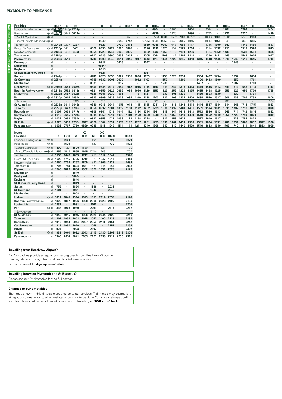#### **PLYMOUTH TO PENZANCE**

| <b>Facilities</b>            |             |              | ∎⊟×                          | R    | 西     |         |    |
|------------------------------|-------------|--------------|------------------------------|------|-------|---------|----|
| London Paddington $\bullet$  |             |              | <b>6 d 1904p 2345p 2345p</b> |      |       | ٠       |    |
| Reading s                    | $^{\circ}$  | d            | 1931pu 0049 0049u            |      |       | ٠       | k  |
| Cardiff Central              | (7)         | d            |                              |      |       | ٠       | ï  |
| Bristol Temple Meads = 10    |             | d            |                              | ٠    | ٠     | ٠       | ï  |
| Taunton <del>sa</del>        |             | d            | 2049p 0237                   |      | 0237  | ٠       | ï  |
| Exeter St Davids             | $^{\circ}$  | d            | 2118 <sub>p</sub>            | 0411 | 0411  | ٠       | 06 |
| Newton Abbot                 |             |              | d $2139p$ 0433               |      | 0433  | $\cdot$ | 06 |
| Totnes <i>≊</i> ∋₩w          |             | d            | 2151 <sub>p</sub>            |      | ٠     | ٠       | 07 |
| Plymouth s                   |             | d            | 2238p 0518                   |      | ٠     | ٠       | 07 |
| Devonport                    |             | d            |                              |      |       | ٠       |    |
| <b>Dockyard</b>              |             | $\mathsf{d}$ |                              |      |       | ٠       |    |
| Keyham                       |             | d            |                              | ٠    |       | ٠       |    |
| <b>St Budeaux Ferry Road</b> |             | d            | ٠                            | ٠    |       | ٠       | ï  |
| <b>Saltash</b>               |             | d            | 2247 <sub>p</sub>            | ٠    |       | ٠       | 07 |
| <b>St Germans</b>            |             | d            | 2254p                        |      | ٠     | ٠       | 07 |
| <b>Menheniot</b>             |             | d            |                              |      |       | ٠       | 08 |
| Liskeard                     | $\circled6$ | d            | 2306p 0541                   |      | 0605s | ٠       | 08 |
| <b>Bodmin Parkway 200 Mi</b> |             | d            | 2318 <sub>p</sub>            | 0552 | 0619s |         | 08 |
| Lostwithiel                  |             |              | $d$ 2323p 0557               |      | 0626s |         | 08 |

| Headıng <i>s</i> ⊟           |                  | (7) d 1931 pu 0049 0049u |      |                 |         |      |       |      |      |         |      |            | 0829    |      | 0930  |      | 1030      |         | 1130  |      | 1230  |      | 1330  |      |      | 1429           |
|------------------------------|------------------|--------------------------|------|-----------------|---------|------|-------|------|------|---------|------|------------|---------|------|-------|------|-----------|---------|-------|------|-------|------|-------|------|------|----------------|
| Cardiff Central              | $\circledcirc$ d |                          |      |                 |         |      |       |      |      | 0629    |      |            | 0727f   | 0800 | 0827f | 0900 | 0927f     |         | 1000k | 1100 | 1130f |      | 1227f | 1300 |      | $\cdot$        |
| Bristol Temple Meads = 10 d  |                  |                          |      |                 |         |      | 0540  |      | 0642 | 0742    |      | 0755n 0845 |         | 0855 | 0945  | 0955 | 1045      |         | 1055k | 1155 | 1245  |      | 1345  | 1355 |      |                |
| Taunton <del>உ</del>         |                  | d 2049p 0237             |      | 0237            | $\cdot$ |      | 0627  |      | 0730 | 0814    |      | 0859       | 0945    | 0952 | 1048  | 1055 | 1147      |         | 1245  | 1300 | 1347  |      | 1449  | 1456 |      | 1547           |
| Exeter St Davids             |                  | $\circ$ d 2118p 0411     |      | 0411            |         | 0628 | 0655  | 0722 | 0800 | 0845    |      | 0926       | 1011    | 1025 | 1114  | 1125 | 1216      |         | 1314  | 1332 | 1413  |      | 1517  | 1526 |      | 1615           |
| Newton Abbot                 |                  | d $2139p$ 0433           |      | 0433            |         | 0654 | 0723  | 0748 | 0825 | 0905    |      | 0952       | 1032    | 1050 | 1135  | 1150 | 1236      | $\cdot$ | 1334  | 1359 | 1433  |      | 1537  | 1551 |      | 1635           |
| Totnes <i>≊</i> ∋₩w          |                  | $d$ 2151 $p$             |      |                 |         | 0707 | 0735  | 0800 | 0838 | 0917    |      | 1005       | 1044    | 1103 | 1147  | 1202 | 1248      |         | 1346  | 1411 | 1445  |      | 1549  | 1604 |      | 1647           |
| Plymouth $\equiv$            |                  | d 2238p 0518             |      |                 |         | 0740 | 0808  | 0846 | 0911 | 0946    | 1017 | 1043       | 1115    | 1144 | 1220  | 1245 | 1318      | 1345    | 1418  | 1445 | 1518  | 1542 | 1618  | 1645 |      | 1718           |
| Devonport                    | α                |                          |      |                 |         |      | 0812  |      | 0915 |         |      | 1047       |         |      |       |      |           |         |       |      |       | 1546 |       |      |      |                |
| <b>Dockyard</b>              | d.               |                          |      |                 |         |      | 0814x |      |      |         |      |            |         |      |       |      |           |         |       |      |       |      |       |      |      |                |
| Keyham                       | d                |                          |      |                 |         |      | 0818  |      |      |         |      |            |         |      |       |      |           |         |       |      |       |      |       |      |      |                |
| <b>St Budeaux Ferry Road</b> |                  |                          |      | $\cdot$         |         |      | 0821  |      |      |         |      | 1051       |         |      |       |      |           |         |       |      |       |      |       |      |      |                |
| Saltash                      |                  | d 2247 <sub>p</sub>      |      |                 |         | 0749 | 0826  | 0855 | 0922 | 0955    | 1026 | 1055       |         | 1153 | 1229  | 1254 |           | 1354    | 1427  | 1454 |       | 1552 |       | 1654 |      |                |
| <b>St Germans</b>            |                  | d 2254p                  |      |                 |         | 0755 | 0832  | 0901 | 0929 | $\cdot$ | 1032 | 1102       |         | 1159 |       | 1300 |           | 1400    | 1433  | 1500 |       | 1559 |       | 1701 |      | $\blacksquare$ |
| Menheniot                    |                  |                          |      |                 |         | 0803 |       |      | 0937 |         |      |            |         | 1206 |       |      |           | 1407    |       |      |       | 1607 |       | 1708 |      |                |
| Liskeard s                   |                  | 6 d 2306p 0541 0605s     |      |                 |         | 0809 | 0845  | 0914 | 0944 | 1012    | 1045 | 1114       | 1140    | 1213 | 1244  | 1313 | 1343      | 1414    | 1446  | 1513 | 1543  | 1614 | 1643  | 1714 |      | 1743           |
| <b>Bodmin Parkway</b>        |                  | d 2318p 0552 0619s       |      |                 |         | 0821 | 0856  | 0925 | 0956 | 1025    | 1056 | 1126       | 1152    | 1225 | 1256  | 1325 | 1355      | 1425    | 1458  | 1525 | 1555  | 1625 | 1655  | 1726 |      | 1755           |
| Lostwithiel                  |                  | d 2323p 0557 0626s       |      |                 |         | 0826 | 0901  | 0930 | 1001 |         | 1101 | 1131       | $\cdot$ | 1230 | 1301  | 1330 | $\bullet$ | 1430    | 1503  | 1530 |       | 1630 |       | 1731 |      | $\sim$         |
| Par                          |                  | 3 d 2330p 0605 0634s     |      |                 |         | 0833 | 0909  | 0938 | 1008 | 1035    | 1109 | 1138       | 1203    | 1237 | 1308  | 1337 | 1406      | 1438    | 1510  | 1537 | 1606  | 1638 | 1706  | 1739 |      | 1806           |
| Newquay <del>so</del>        |                  |                          |      | 0743            |         |      | 1016  |      |      |         |      |            | 1303    |      |       |      | 1503      |         |       |      | 1703  |      |       |      |      | 1904           |
| St Austell $\equiv$          |                  | d 2338p 0611             |      | 0643s           |         | 0840 | 0915  | 0944 | 1015 | 1043    | 1115 | 1145       | 1211    | 1244 | 1315  | 1344 | 1414      | 1444    | 1517  | 1544 | 1614  | 1645 | 1714  | 1745 |      | 1813           |
| Truro se                     |                  | d 2355p 0627 0703s       |      |                 |         | 0856 | 0932  | 1001 | 1032 | 1100    | 1132 | 1202       | 1229    | 1301 | 1332  | 1401 | 1431      | 1501    | 1534  | 1601 | 1631  | 1702 | 1730  | 1802 |      | 1830           |
| Redruth $\equiv$             |                  | $d$   0007               | 0639 | 0717s           |         | 0908 | 0944  | 1013 | 1044 | 1112    | 1144 | 1214       | 1241    | 1313 | 1344  | 1413 | 1443      | 1513    | 1546  | 1613 | 1643  | 1714 | 1742  | 1814 |      | 1842           |
| Camborne =                   |                  | $d$ 0013                 |      | 0645 0724s      |         | 0914 | 0950  | 1019 | 1050 | 1119    | 1150 | 1220       | 1248    | 1319 | 1350  | 1419 | 1450      | 1519    | 1552  | 1619 | 1650  | 1720 | 1749  | 1820 |      | 1849           |
|                              |                  |                          |      |                 |         |      |       | 1027 | 1058 | 1128    | 1158 | 1228       |         | 1327 | 1358  | 1427 |           | 1527    | 1600  | 1627 |       | 1728 | 1758  | 1828 |      |                |
|                              |                  | 0022                     |      | 0653 0734s      |         | 0922 | 0958  |      |      |         |      |            |         |      |       |      |           |         |       |      |       |      |       |      |      |                |
| Hayle<br><b>St Erth</b>      | $(2)$ d          | 0026                     |      | 0658 0739s 0817 |         | 0926 | 1002  | 1031 | 1102 | 1132    | 1202 | 1231       | 1259    | 1331 | 1401  | 1431 | 1500      | 1531    | 1604  | 1631 | 1700  | 1731 | 1802  | 1832 | 1842 | 1900           |
| Penzance set                 |                  | $a \mid 0035$            | 0707 | 0750            | 0829    | 0935 | 1011  | 1040 | 1111 | 1141    | 1211 | 1240       | 1308    | 1340 | 1410  | 1440 | 1509      | 1540    | 1613  | 1640 | 1709  | 1740 | 1811  | 1841 | 1853 | 1909           |

 $-0804$ 

 $\sim$ 

 $\mathbb{R}$ ■日本  $\mathbb{R}$  $\mathbb{R}$  $\mathbb B$ ■日本

 $\frac{1}{1104}$ 

 $\sim$ 

 $\frac{1}{1204}$ 

 $. 0904 . 1004$ 

■日本  $\mathbb{R}$ 

 $\frac{1}{1304}$ 

 $\cdot$  $\cdot$ 

 $\sim$ 

■日本

 $\frac{1}{1404}$ 

 $\mathbb{R}$  $\mathbb{R}$  $\mathbb{R}$ ■日素  $\Box$  $\mathbb{R}$ ■⊓ਕਲ  $\mathbb B$ 

| <b>Notes</b>                              |                    |         |                |       | XC      |         | XC      |      |                      |         |
|-------------------------------------------|--------------------|---------|----------------|-------|---------|---------|---------|------|----------------------|---------|
| <b>Facilities</b>                         |                    | R       | ∎⊓ਸਨ           | R     | ■≖      | R       | ■≖      | ∎в≂  |                      | ∎⊓ਸਨ    |
| London Paddington $\bullet$               | $(5)$<br>d         | ï       | 1504           | ٠     | $\cdot$ | 1604    | $\cdot$ | 1704 | $\cdot$              | 1804    |
| Reading                                   | $\circled7$<br>d   | ×       | 1529           | ٠     | ï       | 1629    |         | 1730 | ٠                    | 1829    |
| Cardiff Central                           | (7)<br>d           | 1400    | 1430f          | 1500  | 1530    | ٠       | 1627    |      | ٠                    | 1700    |
| <b>Bristol Temple Meads</b> and <b>10</b> | d                  | 1455    | 1545           | 1555  | 1645    | 1710k   | 1745    | í.   | ٠                    | 1755    |
| Taunton s                                 | d                  | 1555    | 1647           | 1655  | 1717    | 1750    | 1817    | 1847 | $\cdot$              | 1945    |
| <b>Exeter St Davids</b>                   | d<br>$6$           | 1625    | 1715           | 1725  | 1749    | 1820    | 1847    | 1917 | ٠                    | 2013    |
| Newton Abbot                              | d                  | 1650    | 1736           | 1752  | 1809    | 1841    | 1906    | 1938 | $\ddot{\phantom{0}}$ | 2034    |
| Totnes <i>a</i> ⊟ ₩                       | d                  | 1703    | 1748           | 1804  | 1821    | 1853    | 1918    | 1949 | ï                    | 2046    |
| Plymouth s                                | d                  | 1746    | 1820           | 1836  | 1902    | 1927    | 1951    | 2023 |                      | 2123    |
| Devonport                                 | d                  |         |                | 1840  | ×       |         |         |      | ٠                    |         |
| <b>Dockyard</b>                           | d                  | ٠       | ٠              | 1842x | $\cdot$ | $\cdot$ | ٠       |      | $\ddot{\phantom{0}}$ | ٠       |
| Keyham                                    | d                  | $\cdot$ | ٠              | 1846  | ٠       | ٠       |         | ï    | ٠                    | $\cdot$ |
| <b>St Budeaux Ferry Road</b>              | d                  |         |                | 1849  | ٠       |         | ł.      |      | $\ddot{\phantom{0}}$ | ٠       |
| <b>Saltash</b>                            | d                  | 1755    | $\cdot$        | 1854  | ٠       | 1936    |         | 2033 |                      | ٠       |
| <b>St Germans</b>                         | d                  | 1801    | $\blacksquare$ | 1901  | ٠       | 1942    |         | 2040 |                      | ٠       |
| <b>Menheniot</b>                          | d                  |         |                | 1908  |         |         |         |      |                      | $\cdot$ |
| Liskeard $\equiv$                         | 6d                 | 1814    | 1845           | 1914  | 1925    | 1955    | 2014    | 2053 |                      | 2147    |
| <b>Bodmin Parkway</b>                     | d                  | 1826    | 1857           | 1926  | 1938    | 2006    | 2026    | 2105 | ٠                    | 2159    |
| Lostwithiel                               | d                  | 1831    |                | 1931  | ï       | 2011    | ٠       |      | $\ddot{\phantom{0}}$ | 2205    |
| Par                                       | d<br>(3)           | 1838    | 1908           | 1939  | ×       | 2019    |         | 2115 | $\cdot$              | 2212    |
| Newquay s                                 | a                  |         |                | ×     |         | 2116    | ł.      |      | $\ddot{\phantom{0}}$ | ٠       |
| St Austell                                | d                  | 1845    | 1915           | 1945  | 1956    | 2025    | 2044    | 2122 | ٠                    | 2219    |
| Truro s                                   | d                  | 1901    | 1932           | 2002  | 2015    | 2042    | 2100    | 2139 | $\ddot{\phantom{0}}$ | 2236    |
| Redruth =                                 | d                  | 1913    | 1944           | 2014  | 2027    | 2053    | 2111    | 2151 | ٠                    | 2247    |
| Camborne =                                | d                  | 1919    | 1950           | 2020  | ٠       | 2059    |         | 2157 | $\ddot{\phantom{0}}$ | 2254    |
| Hayle                                     | d                  | 1927    | ×              | 2028  | ×       | 2107    | ł,      |      |                      | 2302    |
| <b>St Erth</b>                            | $\circled{2}$<br>d | 1931    | 2001           | 2032  | 2043    | 2112    | 2130    | 2208 | 2218                 | 2306    |
| Penzance =                                | a                  | 1940    | 2010           | 2041  | 2053    | 2121    | 2139    | 2217 | 2230                 | 2315    |

#### **Travelling from Heathrow Airport?**

RailAir coaches provide a regular connecting coach from Heathrow Airport to Reading station. Through train and coach tickets are available. Find out more at Firstgroup.com/railair

#### Travelling between Plymouth and St Budeaux?

Please see our D5 timetable for the full service

#### **Changes to our timetables**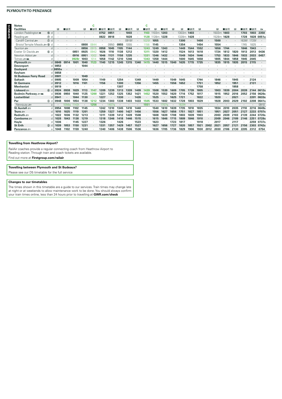#### **PLYMOUTH TO PENZANCE**

| <b>Notes</b>                 |                  |       |       |         |      | C    |         |       |      |       |         | C     |       |       |      |       |      |         |      |       |      |      |         |       |         |
|------------------------------|------------------|-------|-------|---------|------|------|---------|-------|------|-------|---------|-------|-------|-------|------|-------|------|---------|------|-------|------|------|---------|-------|---------|
| <b>Facilities</b>            |                  | R     | ∎в≂   |         | R    | ∎⊞∓  | ■国表 ■国表 |       | в    | ∎⊡ਨ   | в       | ∎⊪ਸ਼ਨ | R     | ∎в≂   | П    | в     | ∎⊡ਨ  | в       |      | в     | ∎⊟ਨ  | П    | ∎⊡⊼ ∎⊡⊼ |       | 匈       |
| London Paddington $\bullet$  | <b>15 d</b>      |       |       |         |      |      | 0752    | 0851  |      | 1003  |         | 1103  | 1103m | 1203  |      | 1303m | 1403 | $\cdot$ |      | 1503m | 1603 |      | 1703    | 1803  | 2350    |
| Reading                      | $\circledcirc$ d |       |       |         |      |      | 0822    | 0918  |      | 1028  |         | 1128  | 1128m | 1228  |      | 1328m | 1428 |         |      | 1528m | 1628 |      | 1728    | 1828  | 0051u   |
| Cardiff Central              | $(7)$ d          |       |       |         |      |      |         |       |      | 0918f |         | 1025f | 1055  |       |      | 1300  |      | 1400    |      | 1500  |      |      | 1636f   | 1725f | $\cdot$ |
| Bristol Temple Meads = 10 d  |                  |       |       |         | 0800 | 0844 |         | 0950  | 0955 | 1055  |         | 1156  | 1145  |       |      | 1354  |      | 1454    |      | 1554  |      |      | 1745    | 1825  |         |
| Taunton æ                    | <sub>d</sub>     |       |       | $\cdot$ | 0856 | 0915 | 0958    | 1045  | 1105 | 1144  | $\cdot$ | 1243  | 1249  | 1343  |      | 1449  | 1544 | 1552    |      | 1656  | 1744 |      | 1846    | 1943  |         |
| Exeter St Davids             | 6d               |       |       | 0851    | 0925 | 0942 | 1026    | 1110  | 1138 | 1212  |         | 1311  | 1320  | 1412  |      | 1524  | 1613 | 1618    |      | 1724  | 1812 | 1820 | 1913    | 2013  | 0436    |
| Newton Abbot æ               | d                |       |       | 0916    | 0951 | 1002 | 1046    | 1131  | 1158 | 1235  | $\cdot$ | 1331  | 1346  | 1432  |      | 1549  | 1634 | 1646    |      | 1753  | 1833 | 1846 | 1933    | 2033  | 0457    |
| Totnes and                   | d                |       |       | 0928    | 1003 | 1014 | 1058    | 1142  | 1210 | 1246  |         | 1343  | 1358  | 1444  |      | 1600  | 1645 | 1658    |      | 1805  | 1844 | 1858 | 1945    | 2045  |         |
| Plymouth s                   | $\mathsf{d}$     | 0849  | 0914  | 1001    | 1040 | 1123 | 1140    | 1215  | 1245 | 1315  | 1340    | 1415  | 1440  | 1515  | 1540 | 1635  | 1715 | 1735    |      | 1835  | 1915 | 1935 | 2015    | 2115  |         |
| Devonport                    | d                | 0853  |       |         | 1044 |      |         |       |      |       |         |       |       |       |      |       |      |         |      |       |      |      |         |       |         |
| <b>Dockyard</b>              | d.               | 0855x |       |         |      |      |         |       |      |       |         |       |       |       |      |       |      |         |      |       |      |      |         |       |         |
| Keyham                       | d                | 0858  |       |         |      |      |         |       |      |       |         |       |       |       |      |       |      |         |      |       |      |      |         |       |         |
| <b>St Budeaux Ferry Road</b> |                  | 0901  |       |         | 1049 |      |         |       |      |       |         |       |       |       |      |       |      |         |      |       |      |      |         |       |         |
| <b>Saltash</b>               | d                | 0905  |       | 1009    | 1054 |      | 1149    |       | 1254 |       | 1349    |       | 1449  |       | 1549 | 1645  |      | 1744    |      | 1846  |      | 1945 |         | 2124  |         |
| <b>St Germans</b>            | U                | 0912  |       | 1016    | 1101 |      | 1156    |       | 1300 |       | 1356    |       | 1455  |       | 1556 | 1652  |      | 1751    |      | 1852  |      | 1951 |         | 2131  |         |
| <b>Menheniot</b>             |                  | 0919  |       |         |      |      |         |       | 1307 |       |         |       |       |       |      |       |      | 1758    |      |       |      | 1958 |         |       |         |
| Liskeard                     | $6$              | 0924  | 0938  | 1029    | 1113 |      | 1209    | 1239  | 1313 | 1339  | 1409    | 1439  | 1508  | 1539  | 1609 | 1705  | 1739 | 1805    |      | 1903  | 1939 | 2004 | 2039    | 2144  | 0612s   |
| <b>Bodmin Parkway</b>        | d                | 0936  | 0950  | 1040    | 1125 | 1200 | 1221    | 1252  | 1325 | 1352  | 1421    | 1452  | 1520  | 1552  | 1620 | 1716  | 1752 | 1817    |      | 1915  | 1952 | 2016 | 2052    | 2156  | 0626s   |
| Lostwithiel                  | d                | 0941  |       | 1044    | 1130 |      | 1227    |       | 1330 |       | 1426    |       | 1525  |       | 1625 | 1721  |      | 1822    |      | 1920  |      | 2021 | $\cdot$ | 2201  | 0633s   |
| Par                          | $\circled{3}$    | 0948  | 1000  | 1054    | 1138 | 1212 | 1234    | 1303  | 1338 | 1403  | 1433    | 1505  | 1533  | 1602  | 1632 | 1728  | 1803 | 1829    |      | 1928  | 2003 | 2029 | 2102    | 2208  | 0641s   |
| Newquay some                 | a                |       | 1056a | 1143t   |      | 1256 |         | 1407a |      |       |         | 1551  |       | 1707a |      | 1829t |      |         |      |       |      |      |         |       | 0910    |
| St Austell $\equiv$          | d                | 0954  | 1008  | 1102    | 1145 |      | 1242    | 1310  | 1345 | 1410  | 1440    |       | 1540  | 1610  | 1639 | 1735  | 1810 | 1835    |      | 1934  | 2010 | 2035 | 2110    | 2216  | 0649s   |
| Truro $\equiv$               | d                | 1010  | 1025  | 1119    | 1201 |      | 1259    | 1327  | 1400 | 1427  | 1456    |       | 1556  | 1627  | 1656 | 1751  | 1827 | 1851    |      | 1951  | 2027 | 2051 | 2127    | 2233  | 0707s   |
| Redruth $\equiv$             | d                | 1022  | 1036  | 1132    | 1213 |      | 1311    | 1339  | 1412 | 1439  | 1508    |       | 1608  | 1639  | 1708 | 1803  | 1839 | 1903    |      | 2003  | 2039 | 2103 | 2139    | 2244  | 0720s   |
| $Camborne \n\equiv$          | d                | 1028  | 1043  | 1138    | 1219 |      | 1318    | 1346  | 1418 | 1446  | 1515    |       | 1615  | 1646  | 1715 | 1809  | 1846 | 1910    |      | 2009  | 2046 | 2109 | 2146    | 2251  | 0728s   |
| Hayle                        | d                | 1036  |       | 1145    | 1227 |      | 1326    |       | 1426 |       | 1523    |       | 1623  |       | 1723 | 1817  |      | 1918    |      | 2017  |      | 2117 |         | 2259  | 0737s   |
| <b>St Erth</b>               | (2)<br>d         | 1039  | 1053  | 1150    | 1231 |      | 1331    | 1357  | 1429 | 1457  | 1527    |       | 1627  | 1656  | 1727 | 1820  | 1857 | 1921    | 2002 | 2021  | 2057 | 2121 | 2156    | 2303  | 0742s   |
| Penzance s                   | $\overline{a}$   | 1048  | 1102  | 1159    | 1240 |      | 1340    | 1406  | 1438 | 1506  | 1536    |       | 1636  | 1705  | 1736 | 1829  | 1906 | 1930    | 2012 | 2030  | 2106 | 2130 | 2205    | 2312  | 0754    |

#### **Travelling from Heathrow Airport?**

RailAir coaches provide a regular connecting coach from Heathrow Airport to

Reading station. Through train and coach tickets are available.

Find out more at **Firstgroup.com/railair**

#### **Travelling between Plymouth and St Budeaux?**

Please see our D5 timetable for the full service

#### **Changes to our timetables**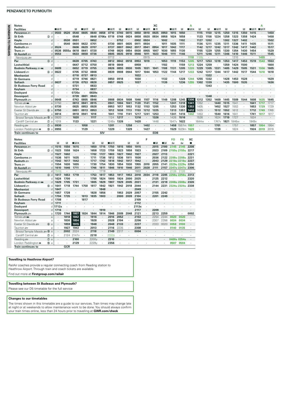| <b>Notes</b>                 |                  |          |         |       |         |       |            |       |      |      |      |      | xс         |      |                   |                 |                    |              |      |                   |      |                   |      |                   |       |      |
|------------------------------|------------------|----------|---------|-------|---------|-------|------------|-------|------|------|------|------|------------|------|-------------------|-----------------|--------------------|--------------|------|-------------------|------|-------------------|------|-------------------|-------|------|
| <b>Facilities</b>            |                  | ■日素      |         | П     | ∎в≖     | в     |            | ∎в≖   | в    | ■B₩  | R    | ∎⊓ਸਨ | ∎≖         |      | ∎в≖               | в               | $\blacksquare$ Elx | $\mathbb{E}$ | П    | ∎ात्रऊ            | B    |                   | в    | ∎B⊼               | ∎⊪ਸ਼ਲ |      |
| Penzance some                |                  | $d$ 0503 | 0520    | 0540  | 0605    | 0640  | 0658       | 0710  | 0740 | 0815 | 0850 | 0910 | 0925       | 0950 | 1015              | 1050            |                    | 1115         | 1150 | 1215              | 1250 | 1315              | 1350 | 1415              |       | 1450 |
| <b>St Erth</b>               | $Q$ d            |          |         | 0548  |         | 0648  | 0706a      | 0719  | 0748 | 0824 | 0858 | 0920 | 0934       | 0958 | 1024              | 1058            |                    | 1123         | 1158 | 1224              | 1258 | 1323              | 1358 | 1424              |       | 1458 |
| Hayle                        | d                |          | 0530    | 0551  |         | 0652  |            |       | 0752 |      | 0902 | 0924 |            | 1002 |                   | 1102            |                    | 1127         | 1202 |                   | 1302 | 1327              | 1402 |                   |       | 1502 |
| Camborne $\equiv$            | n                |          | 0540    | 0600  | 0622    | 0701  |            | 0730  | 0801 | 0835 | 0911 | 0934 |            | 1011 | 1035              | 1111            |                    | 1136         | 1211 | 1235              | 1311 | 1336              | 1411 | 1435              |       | 1511 |
| Redruth $\equiv$             | n                | 0524     |         | 0606  | 0629    | 0707  | $\cdot$    | 0737  | 0807 | 0842 | 0917 | 0941 | 0954       | 1017 | 1042              | 1117            |                    | 1142         | 1217 | 1242              | 1317 | 1342              | 1417 | 1442              |       | 1517 |
| Truro $\equiv$               | n                | 0536     | 0555a   | 0618  | 0641    | 0720  |            | 0749  | 0820 | 0854 | 0930 | 0955 | 1007       | 1030 | 1055              | 1130            |                    | 1155         | 1229 | 1255              | 1330 | 1354              | 1430 | 1454              |       | 1529 |
| St Austell s                 | n                | 0553     |         | 0633  | 0658    | 0736  |            | 0805  | 0835 | 0910 | 0946 | 1011 | 1023       | 1046 | 1111              | 1146            |                    | 1211         | 1246 | 1311              | 1346 | 1410              | 1446 | 1511              |       | 1545 |
| Newquay s                    | d                |          |         |       |         |       |            | 0712  |      |      |      | 0915 |            |      |                   |                 | 1118               | 1109         |      |                   |      | 1310              |      |                   | 1455  |      |
| Par                          | $\circled{3}$ d  |          | $\cdot$ | 0639  | 0705    | 0743  |            | 0812  | 0842 | 0918 | 0953 | 1019 |            | 1053 | 1119              | 1153            | 1205               | 1217         | 1253 | 1319              | 1353 | 1417              | 1453 | 1519              | 1543  | 1553 |
| Lostwithiel                  | d                |          |         | 0647  | 0712    | 0750  |            | 0819  | 0849 |      | 0959 |      |            | 1102 |                   | 1159            | 1213               | 1224         | 1259 |                   | 1359 | 1424              | 1500 |                   |       | 1600 |
| Bodmin Parkway ஊண்           |                  | 0609     |         | 0652  | 0719    | 0755  |            | 0826  | 0855 | 0930 | 1005 | 1031 | 1041       | 1108 | 1131              | 1205            | 1220               | 1229         | 1305 | 1331              | 1405 | 1429              | 1505 | 1531              | 1556  | 1605 |
| Liskeard $\equiv$            | 6d               | 0622     |         | 0705  | 0732    | 0808  |            | 0839  | 0908 | 0944 | 1017 | 1044 | 1053       | 1122 | 1144              | 1217            | 1233               | 1242         | 1317 | 1344              | 1417 | 1442              | 1517 | 1544              | 1610  | 1618 |
| <b>Menheniot</b>             | d                |          |         | 0710  | 0737    | 0813  |            |       |      |      | 1022 |      |            |      |                   |                 |                    |              | 1322 |                   |      |                   |      |                   |       |      |
| <b>St Germans</b>            |                  |          |         | 0719  | 0746    | 0821  |            | 0850  | 0918 |      | 1030 |      |            | 1132 |                   | 1228            | 1244               | 1255         | 1332 |                   | 1428 | 1453              | 1528 |                   |       | 1629 |
| <b>Saltash</b>               | <sub>d</sub>     | 0637     | $\cdot$ | 0726  | 0753    | 0828  | $\cdot$    | 0857  | 0925 |      | 1037 |      |            | 1139 |                   | 1236            | 1255               | 1302         | 1339 | $\cdot$           | 1435 | 1500              | 1535 |                   |       | 1636 |
| <b>St Budeaux Ferry Road</b> | d                |          |         | 0731  |         | 0833  |            |       |      |      |      |      |            |      |                   |                 |                    |              | 1343 |                   |      |                   |      |                   |       |      |
| Keyham                       | n                |          |         | 0734  |         | 0837  |            |       |      |      |      |      |            |      |                   |                 |                    |              |      |                   |      |                   |      |                   |       |      |
| Dockyard                     | n                |          |         | 0735x |         | 0839x |            |       |      |      |      |      |            |      |                   |                 |                    |              |      |                   |      |                   |      |                   |       |      |
| <b>Devonport</b>             | n                |          |         | 0739  | 0801    | 0843  |            |       |      |      |      |      |            |      |                   |                 |                    |              | 1348 |                   |      |                   |      |                   |       |      |
| Plymouth $\equiv$            | a                | 0648     |         | 0743  | 0805    | 0846  |            | 0908  | 0934 | 1008 | 1046 | 1107 | 1116       | 1149 | 1208              | 1245            | 1306               | 1312         | 1352 | 1409              | 1445 | 1509              | 1544 | 1608              | 1635  | 1645 |
| Totnes and what              | a                | 0750     |         | 0813  | 0841    | 0915  |            | 0941  | 1004 | 1041 | 1120 | 1141 | 1152       |      | 1241              | 1318            | 1341               | 1352         |      | 1440              | 1515 | 154'              |      | 1641              | 1717  | 1717 |
| Newton Abbot                 |                  | 0730     |         | 0825  | 0853    | 0928  |            | 0953  | 1017 | 1053 | 1132 | 1153 | 1205       |      | 1253              | 1330            | 1353               | 1405         |      | 1452              | 1527 | 1553              |      | 1653              | 1729  | 1729 |
| Exeter St Davids             | 6a               | 0750     |         | 0851  | 0913    | 0953  |            | 1012  | 1038 | 1113 | 1153 | 1212 | 1225       |      | 1313              | 1351            | 1412               | 1425         |      | 1512              | 1552 | 1612              |      | 1712              | 1749  | 1749 |
| Taunton <i>s</i> ⊟           |                  | 0814     |         | 0918  | 0941    | 1018  |            | 1041  | 1110 | 1141 | 1217 | 1241 | 1253       |      | 1341              | 1416            | 1442               | 1453         |      | 1540              | 1616 | 164               |      | 1741              | 1817  | 1817 |
| Bristol Temple Meads = 10    | a                | 0920     | $\cdot$ | 1020  | $\cdot$ | 1117  | $\cdot$    | 1124  | 1217 |      | 1316 |      | 1326       |      | 1426              | 1516            |                    | 1526         |      | 1624              | 1719 | 1727              |      | 1824              |       |      |
| Cardiff Central              | $\circledcirc$ a | 1019     |         | 1123  |         | 1221  |            | 1245v | 1326 |      | 1420 |      | 1448       |      | 1547 <sub>v</sub> | 1622            |                    | 1644w        |      | 1747 <sub>v</sub> | 1821 | 1846 <sub>w</sub> |      | 1949 <sub>v</sub> |       |      |
| Reading                      | $\circledcirc$ a | 0930     |         |       | 1058    |       |            | 1201  |      | 1258 |      | 1402 |            |      | 1458              | 1557m 1557      |                    |              |      | 1701              |      | 1757              |      | 1857              | 1954  | 1954 |
| London Paddington $\bullet$  | <b>66</b> a      | 0955     |         |       | 1129    |       |            | 1229  |      | 1329 |      | 1427 |            |      |                   | 1529 1629m 1629 |                    |              |      | 1729              |      | 1824              |      | 1924              | 2019  | 2019 |
| <b>Train continues to</b>    |                  |          |         |       |         |       | <b>SIV</b> |       |      |      |      |      | <b>EDB</b> |      |                   |                 |                    |              |      |                   |      |                   |      |                   |       |      |
|                              |                  |          |         |       |         |       |            |       |      |      |      |      |            |      |                   |                 |                    |              |      |                   |      |                   |      |                   |       |      |

| <b>Notes</b>                 |                     |         |      |                   |            |                   |         |         |      |                |       | F       |         |      | F <sub>O</sub> | <b>FX</b>   | XC   |
|------------------------------|---------------------|---------|------|-------------------|------------|-------------------|---------|---------|------|----------------|-------|---------|---------|------|----------------|-------------|------|
| <b>Facilities</b>            |                     | R       | в    | ∎BX               |            | П                 | в       | ∎⊪ਸ਼ਨ   |      | R              | в     |         | - IR    | - IR | ىغا            | 西           | ■    |
| Penzance =                   | d                   | 1515    | 1550 | 1615              | ٠          | 1650              | 1715    | 1750    | 1815 | 1850           | 1915  |         | 2015    | 2100 | 2145           | 2145        | 2208 |
| <b>St Erth</b>               | $Q$ d               | 1523    | 1558 | 1624              | ٠          | 1658              | 1723    | 1759    | 1823 | 1858           | 1923  |         | 2023    | 2109 | 2155u 2155u    |             | 2217 |
| Hayle                        | d                   | 1527    | 1602 |                   | $\cdot$    | 1702              | 1727    | 1803    | 1827 | 1902           | 1927  |         | 2027    | 2113 |                |             | 2221 |
| Camborne $\equiv$            | d                   | 1536    | 1611 | 1635              | $\cdot$    | 1711              | 1736    | 1812    | 1836 | 1911           | 1936  |         | 2036    | 2122 | 2208u 2208u    |             | 2231 |
| Redruth =                    | d                   | 1542    | 1617 | 1642              | ٠          | 1717              | 1742    | 1818    | 1842 | 1917           | 1942  |         | 2043    | 2129 | 2216u 2216u    |             | 2237 |
| Truro s                      | d                   | 1554    | 1630 | 1655              | ٠          | 1730              | 1754    | 1830    | 1854 | 1930           | 1955  | 2010    | 2055    | 2141 |                | 2229u 2229u | 2250 |
| St Austell $\equiv$          | d                   | 1610    | 1646 | 1711              | $\cdot$    | 1746              | 1811    | 1846    | 1910 | 1946           | 2011  | 2028    | 2111    | 2157 | 2247u 2247u    |             | 2306 |
| Newquay s                    | d                   | 1510    |      |                   |            |                   | 1719    |         |      |                | 1922  |         |         |      | 2126           | 2126        |      |
| Par                          | $(3)$ d             | 1617    | 1653 | 1719              | $\cdot$    | 1753              | 1817    | 1853    | 1917 | 1953           | 2018  | 2034    | 2118    | 2205 | 2256u 2256u    |             | 2313 |
| Lostwithiel                  | d                   | 1624    | 1700 |                   |            | 1759              | 1824    | 1900    | 1924 | 2000           | 2025  |         | 2125    | 2212 |                |             | 2320 |
| <b>Bodmin Parkway</b>        | d                   | 1629    | 1705 | 1731              |            | 1805              | 1829    | 1907    | 1929 | 2005           | 2031  |         | 2131    | 2218 | 2308u 2308u    |             | 2326 |
| Liskeard $\equiv$            | $\circledcirc$<br>d | 1641    | 1718 | 1744              | 1758       | 1817              | 1842    | 1921    | 1942 | 2018           | 2044  |         | 2144    | 2231 | 2324u 2324u    |             | 2338 |
| <b>Menheniot</b>             | d                   | 1647    |      |                   |            |                   | 1848    | $\cdot$ |      |                | 2049  |         |         |      |                |             |      |
| <b>St Germans</b>            | d                   | 1657    | 1728 |                   |            | 1828              | 1856    | ٠       | 1953 | 2029           | 2057  |         | 2155    | 2242 |                |             |      |
| <b>Saltash</b>               | d                   | 1704    | 1735 |                   | 1813       | 1835              | 1903    | $\cdot$ | 2000 | 2039           | 2104  | $\cdot$ | 2201    | 2249 |                |             |      |
| <b>St Budeaux Ferry Road</b> | d                   | 1708    |      |                   | 1817       |                   |         |         |      |                | 2109  |         |         |      |                |             |      |
| Keyham                       | d                   | 1711    | ٠    |                   |            |                   |         | ٠       |      | ٠              | 2112  |         | $\cdot$ |      |                |             |      |
| Dockyard                     | d                   | 1712x   |      |                   |            |                   |         |         |      | $\cdot$        | 2113x |         | ٠       |      |                |             |      |
| Devonport                    | d                   | 1716    |      |                   |            |                   | 1910    |         |      |                | 2117  |         | 2209    |      |                |             |      |
| Plymouth $\equiv$            | a                   | 1720    | 1744 | 1807              | 1824       | 1844              | 1914    | 1946    | 2009 | 2048           | 2121  |         | 2213    | 2259 | ٠              |             | 0002 |
| Totnes <del>so</del> mmu     | $\overline{a}$      | $\cdot$ | 1818 | 1842              | $\epsilon$ | 1916              | ٠       | 2016    | 2052 | ×,             | 2153  | ٠       | 2254    | 2344 | 0020           | 0020        |      |
| Newton Abbot æ               | a                   |         | 1830 | 1854              | ٠          | 1928              |         | 2028    | 2104 |                | 2206  |         | 2307    | 2356 | 0034           | 0034        |      |
| Exeter St Davids             | 6a                  | ٠       | 1859 | 1915              | ٠          | 1948              | $\cdot$ | 2048    | 2133 | $\blacksquare$ | 2237  |         | 2333    | 0020 | 0058           | 0100        |      |
| Taunton <i>s</i> ⊟           | a                   | ٠       | 1927 | 1943              | ٠          | 2013              |         | 2116    | 2235 | ٠              | 2308  |         |         |      | 0140           | 0135        |      |
| Bristol Temple Meads = 10 a  |                     | ٠       | 2002 | 2024              | $\cdot$    | 2118              | ٠       | 2149    | 2317 | ٠              | 0004  |         | ٠       |      |                |             |      |
| Cardiff Central              | $\circledcirc$ a    |         | 2124 | 2147 <sub>v</sub> | ٠          | 2218              |         | 2333z   |      |                |       |         | ٠       |      |                |             |      |
| Reading                      | $①$ a               | $\cdot$ |      | 2100              | ٠          | 2200 <sub>V</sub> |         | 2310    | ٠    | ٠              | ٠     |         | ٠       | ٠    | 0400s 0354s    |             |      |
| London Paddington $\bullet$  | ⑮ a                 | ٠       |      | 2129              |            | 2229 <sub>v</sub> |         | 2356    | ٠    |                |       |         | ٠       | ٠    | 0507           | 0504        |      |
| <b>Train continues to</b>    |                     |         | GCR  |                   |            |                   |         |         |      |                |       |         |         |      |                |             |      |

#### **Travelling to Heathrow Airport?**

RailAir coaches provide a regular connecting coach from Reading station to<br>Heathrow Airport. Through train and coach tickets are available.

Find out more at Firstgroup.com/railair

#### **Travelling between St Budeaux and Plymouth?**

Please see our D5 timetable for the full service

#### Changes to our timetables

The times shown in this timetable are a guide to our services. Train times may change late In the anti-term and annual term of the done. You should always confirm<br>at hight or at weekends to allow maintenance work to be done. You should always confirm<br>your train times online, less than 24 hours prior to travellin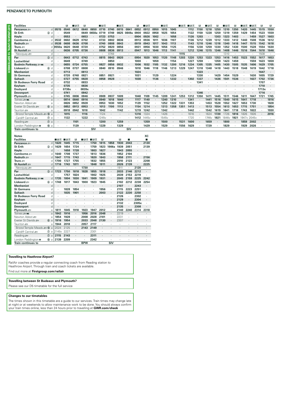| <b>Facilities</b>            |                |                 | R     | ∎⊟ਨ       | в            |       | ∎⊞ਡ       |           | ∎⊪ਸ਼ਨ     |            | B.   | ⊞ਸ਼ਨ |        | ∎⊞ऊ  |      | ■日素 ■日素 |      |      | ∎в≂  | в    | ∎в≖  |      | ■日本 ■日本 |      | в         | в    |
|------------------------------|----------------|-----------------|-------|-----------|--------------|-------|-----------|-----------|-----------|------------|------|------|--------|------|------|---------|------|------|------|------|------|------|---------|------|-----------|------|
| Penzance =                   |                | $d$ 0515        | 0540  | 0612      | 0640         | 0650  | 0710      | 0740      | 0815 0841 |            | 0852 | 0912 | 0950   | 1015 | 1045 |         | 1112 | 1150 | 1218 | 1250 | 1310 | 1350 | 1420    | 1445 | 1515      | 1550 |
| St Erth                      | $Q$ d          |                 | 0549  |           | 0649         | 0658a | 0719      | 0749      |           | 0825 0849a | 0900 | 0922 | 0958   | 1025 | 1054 |         | 1122 | 1159 | 1228 | 1259 | 1319 | 1359 | 1429    | 1454 | 1523      | 1559 |
| Hayle                        | $\mathsf{d}$   |                 | 0553  |           | 0653         |       | 0723      | 0753      |           |            | 0904 | 0926 | 1002   |      | 1058 | $\cdot$ | 1126 | 1203 |      | 1303 | 1323 | 1403 |         | 1459 | 1527      | 1603 |
| Camborne                     |                | $d$ 0532        | 0602  | 0629      | 0702         |       | 0733      | 0802      | 0836      |            | 0913 | 0936 | 1011   | 1036 | 1107 |         | 1136 | 1212 | 1239 | 1312 | 1333 | 1412 | 1440    | 1508 | 1536 1612 |      |
| Redruth $\equiv$             |                | $d$ 0538        | 0608  | 0636      | 0708         |       |           | 0740 0808 | 0843      |            | 0919 | 0943 | 1017   | 1043 | 1113 |         | 1143 | 1218 | 1246 | 1318 | 1340 | 1418 | 1447    | 1515 | 1542 1618 |      |
| Truro se                     |                | 0550a 0620 0648 |       |           | 0720         |       | 0752 0820 |           | 0856      |            | 0931 | 0956 | 1030   | 1056 | 1125 |         | 1156 | 1230 | 1259 | 1330 | 1352 | 1430 | 1500    | 1528 | 1554      | 1630 |
| St Austell <b>s</b>          |                |                 |       | 0636 0705 | 0736         |       | 0808      | 0836      | 0913      |            | 0947 | 1013 | 1046   | 1113 | 1141 |         | 1212 | 1246 | 1315 | 1346 | 1408 | 1446 | 1516    | 1544 | 1610 1646 |      |
| Newquay stra                 |                |                 |       |           | $\mathbf{r}$ |       |           | 0748      |           |            |      |      |        |      |      | 1115    |      |      |      |      | 1310 |      |         |      | 1508      |      |
| Par                          | $(3)$ d        |                 | 0643  | 0712      | 0743         |       | 0815      | 0843      | 0920      |            | 0954 | 1020 | 1053   | 1120 | 1148 | 1203    | 1220 | 1253 | 1323 | 1353 | 1416 | 1453 | 1523    | 1552 | 1617 1653 |      |
| Lostwithiel                  |                |                 | 0649  |           | 0749         |       |           | 0850      |           |            | 1000 |      | 1059   |      | 1154 |         | 1227 | 1259 |      | 1359 | 1423 | 1459 |         | 1559 | 1623 1659 |      |
| <b>Bodmin Parkway</b>        |                |                 | 0655  | 0724      | 0755         |       | 0827      | 0856      | 0932      |            | 1006 | 1032 | 1105   | 1132 | 1200 | 1216    | 1234 | 1305 | 1335 | 1405 | 1430 | 1505 | 1535    | 1606 | 1629 1705 |      |
| Liskeard $\equiv$            | 6d             |                 | 0708  | 0737      | 0808         |       | 0840      | 0910      | 0946      |            | 1018 | 1046 | 1118   | 1146 | 1213 | 1229    | 1247 | 1318 | 1348 | 1418 | 1443 | 1518 | 1548    | 1619 | 1642 1718 |      |
| <b>Menheniot</b>             | d              |                 | 0713  |           | 0813         |       |           |           |           |            | 1024 |      |        |      |      |         |      | 1323 |      |      |      |      |         |      | 1647      |      |
| <b>St Germans</b>            |                |                 | 0720  | 0748      | 0821         |       | 0851      | 0921      |           |            | 1031 |      | 1129   |      | 1224 |         |      | 1330 |      | 1429 | 1454 | 1529 |         | 1630 | 1655 1729 |      |
| <b>Saltash</b>               |                |                 | 0727  | 0755      | 0828         |       | 0858      | 0928      |           |            | 1038 |      | 1136   |      | 1232 | $\cdot$ | 1302 | 1337 |      | 1436 | 1501 | 1536 |         | 1637 | 1702 1736 |      |
| <b>St Budeaux Ferry Road</b> |                |                 | 0732  |           | 0833         |       |           |           |           |            |      |      |        |      |      |         |      | 1341 |      |      |      |      |         |      | 1707      |      |
| Keyham                       | d              |                 | 0735  |           | 0836         |       |           |           |           |            |      |      |        |      |      |         |      |      |      |      |      |      |         |      | 1710      |      |
| Dockyard                     |                |                 | 0738x |           | 0839x        |       |           |           |           |            |      |      |        |      |      |         |      |      |      |      |      |      |         |      | 1713x     |      |
| Devonport                    |                |                 | 0741  |           | 0842         |       |           |           |           |            |      |      |        |      |      |         |      | 1346 |      |      |      |      |         |      | 1716      |      |
| Plymouth $\mathfrak{m}$      | $\overline{a}$ |                 | 0745  | 0806      | 0846         |       | 0909      | 0937      | 1009      |            | 1048 | 1109 | 1145   | 1209 | 1241 | 1253    | 1312 | 1350 | 1411 | 1445 | 1511 | 1546 | 1611    | 1647 | 1721 1745 |      |
| Totnes <i>a</i> mown         | a              |                 | 0814  | 0840      | 0916         |       | 0940      | 1018      | 1040      |            | 1117 | 1140 | $\sim$ | 1240 | 1310 |         | 1341 |      | 1441 | 1516 | 1540 | 1615 | 1641    | 1718 |           | 1816 |
| Newton Abbot                 | a              |                 | 0826  | 0852      | 0928         |       | 0953      | 1030      | 1052      |            | 1129 | 1152 |        | 1252 | 1322 | 1331    | 1353 |      | 1453 | 1528 | 1552 | 1627 | 1653    | 1730 |           | 1828 |
| Exeter St Davids             | 6 a            |                 | 0852  | 0913      | 0953         |       | 1013      | 1100      | 1113      |            | 1154 | 1214 |        | 1313 | 1358 | 1351    | 1413 |      | 1513 | 1554 | 1613 | 1653 | 1715    | 1751 |           | 1854 |
| Taunton æ                    | a              |                 | 0918  | 0942      | 1018         |       | 1042      |           | 1142      |            | 1219 | 1242 |        | 1342 |      |         | 1442 |      | 1542 | 1619 | 1641 | 1718 | 1743    | 1822 |           | 1930 |
| Bristol Temple Meads = 10 a  |                |                 | 1015  |           | 1116         |       | 1124      |           |           |            | 1316 | 1324 |        | 1426 |      |         | 1616 |      | 1624 | 1720 | 1726 | 1816 | 1826    | 1926 |           | 2016 |

 Cardiff Central ¬ Ć a **· 1122 · 1222 ·** 1245v **· · · 1412** 1445v **·** 1545v **· ·** 1720 **·** 1746v **1821** 1846v **1921** 1947v 2045v **· ·** Reading <del>의</del> ⑦ a│ **1101 1200 1259 1359 1500 1531 1600 1659 1800 1859 2002** London Paddington ● ⑮ a │ 1129 1229 1329 1429 1529 1629 1729 1829 1929 2026

| <b>Notes</b>                 |                |              |                   |                |      |            |         |      |                      |      |                |                      | XC             |
|------------------------------|----------------|--------------|-------------------|----------------|------|------------|---------|------|----------------------|------|----------------|----------------------|----------------|
| <b>Facilities</b>            |                |              | ∎в≖               | ⊟ਸ਼ਨ           | в    | ∎⊟ਨ        | ∎в≖     | R    |                      | R    |                |                      | ■              |
| Penzance so                  |                | $\mathsf{d}$ | 1620              | 1645           | 1715 | ×          | 1750    | 1815 | 1858                 | 1930 | 2043           | ×,                   | 2130           |
| <b>St Erth</b>               | $\circled{2}$  | d            | 1629              | 1654           | 1724 | ٠          | 1759    | 1823 | 1906a                | 1939 | 2051           | $\cdot$              | 2139           |
| Hayle                        |                | d            |                   | 1658           | 1728 | ٠          | 1803    | 1827 | $\cdot$              | 1943 | 2055           | $\blacksquare$       | ٠              |
| Camborne =                   |                | d            | 1640              | 1708           | 1737 | ٠          | 1813    | 1836 | ٠                    | 1952 | 2104           | ٠                    | ×              |
| Redruth =                    |                | d            | 1647              | 1715           | 1743 | ٠          | 1820    | 1843 | ٠                    | 1958 | 2111           | $\blacksquare$       | 2156           |
| Truro so                     |                | d            | 1700              | 1727           | 1755 | ٠          | 1832    | 1855 | ٠                    | 2010 | 2123           | $\cdot$              | 2208           |
| St Austell s                 |                | d            | 1716              | 1743           | 1811 | ٠          | 1848    | 1911 | $\cdot$              | 2026 | 2139           | ٠                    | 2225           |
| Newquay s                    |                | d            |                   |                |      | 1730       | ×       |      | ٠                    | 1911 |                | 2120                 |                |
| Par                          | (3)            | d            | 1723              | 1750           | 1818 | 1828       | 1855    | 1918 | $\ddot{\phantom{0}}$ | 2033 | 2146           | 2212                 |                |
| Lostwithiel                  |                | d            |                   | 1757           | 1824 |            | 1902    | 1925 | ٠                    | 2039 | 2153           | 2219                 |                |
| <b>Bodmin Parkway sawi</b>   |                | d            | 1735              | 1804           | 1830 | 1841       | 1909    | 1931 | ٠                    | 2045 | 2159           | 2225                 | 2242           |
| Liskeard                     | $6$            | d            | 1748              | 1817           | 1843 | 1900       | 1923    | 1945 | ٠                    | 2102 | 2212           | 2238                 | 2254           |
| <b>Menheniot</b>             |                | d            | ٠                 | ٠              |      | ٠          | $\cdot$ | ٠    | ٠                    | 2107 | $\cdot$        | 2243                 | ×              |
| <b>St Germans</b>            |                | d            | $\cdot$           | 1828           | 1854 | ×          |         | 1956 | ٠                    | 2115 | 2223           | 2251                 | $\cdot$        |
| <b>Saltash</b>               |                | d            | ٠                 | 1835           | 1901 | ٠          | ٠       | 2003 | ٠                    | 2122 | 2230           | 2258                 | $\blacksquare$ |
| <b>St Budeaux Ferry Road</b> |                | d            |                   |                |      |            |         |      | ٠                    | 2126 | $\cdot$        | 2302                 | ł.             |
| Keyham                       |                | d            | ×,                | $\blacksquare$ | ٠    | ٠          | ٠       |      | ٠                    | 2129 | $\blacksquare$ | 2304                 | $\blacksquare$ |
| <b>Dockyard</b>              |                | d            |                   |                |      |            |         | ٠    | ٠                    | 2132 | ٠              | 2305x                | ï              |
| <b>Devonport</b>             |                | d            |                   | ٠              | ٠    |            | ٠       | ٠    | ٠                    | 2135 | $\blacksquare$ | 2308                 | ٠              |
| Plymouth s                   |                | a            | 1811              | 1845           | 1910 | 1923       | 1947    | 2012 | ٠                    | 2140 | 2240           | 2314                 | 2318           |
| Totnes. <del>≊ M</del> u     |                | a            | 1842              | 1916           | ٠    | 1956       | 2016    | 2048 | ٠                    | 2219 | $\blacksquare$ | ٠                    |                |
| Newton Abbot                 |                | a            | 1854              | 1928           |      | 2008       | 2028    | 2101 | ٠                    | 2231 |                |                      |                |
| Exeter St Davids             | $6$            | a            | 1916              | 1954           | ٠    | 2033       | 2048    | 2130 |                      | 2307 | ٠              | $\ddot{\phantom{0}}$ | ٠              |
| Taunton <i>s</i> ⊟           |                | a            | 1944              | 2018           | ٠    | 2057       | 2117    | ٠    | ٠                    |      | ٠              | ٠                    | ٠              |
| Bristol Temple Meads = 10    |                | a            | 2024              | 2125           | ٠    | 2143       | 2149    | ٠    |                      |      | ٠              | ٠                    |                |
| Cardiff Central              | $^{\circ}$     | a            | 2145 <sub>v</sub> | 2227           | ٠    | ٠          | 2301    | ٠    | ٠                    | ٠    | ٠              | ٠                    | $\cdot$        |
| Reading                      | (7)            | a            | 2115              | 2143           | ٠    | ٠          | 2311    |      |                      | ٠    | $\blacksquare$ | $\blacksquare$       | $\blacksquare$ |
| London Paddington $\Theta$   | $^{\circledR}$ | a            | 2139              | 2209           |      |            | 2342    |      |                      |      | ٠              | ٠                    | ٠              |
| <b>Train continues to</b>    |                |              |                   |                |      | <b>BPW</b> |         |      | SIV                  |      |                |                      |                |

**Train continues to SIV SIV SIV** 

#### **Travelling to Heathrow Airport?**

RailAir coaches provide a regular connecting coach from Reading station to Heathrow Airport. Through train and coach tickets are available. Find out more at **Firstgroup.com/railair**

#### **Travelling between St Budeaux and Plymouth?**

Please see our D5 timetable for the full service

#### **Changes to our timetables**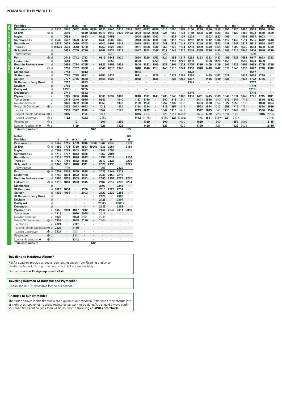| <b>Facilities</b>            |                  |         | в     | ∎⊓ਸਨ    | R     |         | ∎в≖               | R    | ∎⊓ਸਨ |            | в    | ∎⊓ਸਨ              |      | ■⊓ਸਨ              | в    | R      | R    | ⊟⊓੩≖              | R    | R     | R    | ■日素               |      | R     | R    | ∎Ba  |
|------------------------------|------------------|---------|-------|---------|-------|---------|-------------------|------|------|------------|------|-------------------|------|-------------------|------|--------|------|-------------------|------|-------|------|-------------------|------|-------|------|------|
| Penzance some                | $\mathsf{d}$     | 0515    | 0540  | 0612    | 0640  | 0650    | 0710              | 0740 | 0815 | 0841       | 0852 | 0912              | 0950 | 1015              | 1050 | 1115   | 1150 | 1218              | 1250 | 1315  | 1350 | 1420              | 1450 | 1515  | 1550 | 1620 |
| <b>St Erth</b>               | $Q$ d            |         | 0549  |         | 0649  | 0658a   | 0719              | 0749 | 0825 | 0849a      | 0900 | 0922              | 0958 | 1025              | 1059 | 1123   | 1159 | 1228              | 1259 | 1323  | 1359 | 1429              | 1458 | 1523  | 1559 | 1629 |
| Hayle                        | d                |         | 0553  |         | 0653  |         | 0723              | 0753 |      |            | 0904 | 0926              | 1002 |                   | 1103 | 1127   | 1203 |                   | 1303 | 1327  | 1403 |                   | 1502 | 1527  | 1603 |      |
| Camborne $\equiv$            | d.               | 0532    | 0602  | 0629    | 0702  |         | 0733              | 0802 | 0836 |            | 0913 | 0936              | 1011 | 1036              | 1112 | 1136   |      | 1239              | 1312 | 1336  | 1412 | 1440              | 1511 | 1536  | 1612 | 1640 |
| Redruth $\equiv$             | d                | 0538    | 0608  | 0636    | 0708  |         | 0740              | 0808 | 0843 |            | 0919 | 0943              | 1017 | 1043              | 1118 | 1142   | 1218 | 1246              | 1318 | 1342  | 1418 | 1447              | 1517 | 1542  | 1618 | 1647 |
| Truro s                      | d.               | 0550a   | 0620  | 0648    | 0720  |         | 0752              | 0820 | 0856 |            | 0931 | 0956              | 1030 | 1056              | 1130 | 1154   | 1230 | 1259              | 1330 | 1354  | 1430 | 1500              | 1530 | 1554  | 1630 | 1700 |
| St Austell                   | d.               |         | 0636  | 0705    | 0736  |         | 0808              | 0836 | 0913 |            | 0947 | 1013              | 1046 | 1113              | 1146 | 1210   | 1246 | 1315              | 1346 | 1410  | 1446 | 1516              | 1546 | 1610  | 1646 | 1716 |
| Newquay <del>so</del>        | d                |         |       |         |       |         |                   | 0748 |      |            |      |                   |      | 1020              |      |        |      |                   |      | 1310  |      |                   |      | 1510  |      |      |
| Par                          | $\circled{3}$ d  |         | 0643  | 0712    | 0743  |         | 0815              | 0843 | 0920 |            | 0954 | 1020              | 1053 | 1120              | 1153 | 1217   | 1253 | 1323              | 1353 | 1417  | 1453 | 1523              | 1553 | 1617  | 1653 | 1723 |
| Lostwithiel                  | d                |         | 0649  |         | 0749  |         |                   | 0850 |      |            | 1000 |                   | 1059 |                   | 1159 |        | 1259 |                   | 1359 | 1423  | 1459 |                   | 1559 | 1623  | 1659 |      |
| <b>Bodmin Parkway Some</b>   | d                | $\cdot$ | 0655  | 0724    | 0755  |         | 0827              | 0856 | 0932 |            | 1006 | 1032              | 1105 | 1132              | 1205 | 1229   | 1305 | 1335              | 1405 | 1429  | 1505 | 1535              | 1605 | 1629  | 1705 | 1735 |
| Liskeard $\equiv$            | 6d               |         | 0708  | 0737    | 0808  |         | 0840              | 0910 | 0946 |            | 1018 | 1046              | 1118 | 1146              | 1218 | 1241   | 1318 | 1348              | 1418 | 1442  | 1518 | 1548              | 1618 | 1642  | 1718 | 1748 |
| <b>Menheniot</b>             | d                |         | 0713  |         | 0813  |         |                   |      |      |            | 1024 |                   |      |                   |      |        | 1323 |                   |      |       |      |                   |      | 1647  |      |      |
| <b>St Germans</b>            | d                |         | 0720  | 0748    | 0821  |         | 0851              | 0921 |      |            | 1031 |                   | 1129 |                   | 1229 | 1252   | 1330 |                   | 1429 | 1453  | 1529 |                   | 1629 | 1655  | 1729 |      |
| <b>Saltash</b>               | $\mathsf{d}$     | $\cdot$ | 0727  | 0755    | 0828  | $\cdot$ | 0858              | 0928 |      |            | 1038 |                   | 1136 |                   | 1236 | 1259   | 1337 |                   | 1436 | 1500  | 1536 |                   | 1636 | 1702  | 1736 |      |
| <b>St Budeaux Ferry Road</b> | d.               |         | 0732  |         | 0833  |         |                   |      |      |            |      |                   |      |                   |      |        | 1341 |                   |      |       |      |                   |      | 1707  |      |      |
| Keyham                       | d                | $\cdot$ | 0735  |         | 0836  |         |                   |      |      |            |      |                   |      |                   |      |        |      |                   |      |       |      |                   |      | 1710  |      |      |
| <b>Dockyard</b>              | d                |         | 0738x |         | 0839x |         |                   |      |      |            |      |                   |      |                   |      |        |      |                   |      |       |      |                   |      | 1713x |      |      |
| <b>Devonport</b>             | d                |         | 0741  | $\cdot$ | 0842  |         |                   |      |      |            |      |                   |      |                   |      |        | 1346 |                   |      |       |      |                   |      | 1716  |      |      |
| Plymouth $\equiv$            | a                |         | 0745  | 0806    | 0846  |         | 0909              | 0937 | 1009 |            | 1048 | 1109              | 1145 | 1209              | 1245 | 1308   | 1350 | 1411              | 1445 | 1509  | 1546 | 1611              | 1645 | 1721  | 1745 | 1811 |
| Totnes and www               | a                |         | 0814  | 0840    | 0916  |         | 0940              |      | 1040 |            | 1117 | 1140              |      | 1240              | 1318 | 1341   |      | 1441              | 1516 | 1540  | 1615 | 1641              | 1718 |       | 1816 | 1842 |
| Newton Abbot                 | a                |         | 0826  | 0852    | 0928  |         | 0953              |      | 1052 |            | 1129 | 1152              |      | 1252              | 1330 | 1353   |      | 1453              | 1528 | 1552  | 1627 | 1653              | 1730 |       | 1828 | 1854 |
| Exeter St Davids             | 6a               |         | 0852  | 0913    | 0953  |         | 1013              |      | 1113 |            | 1154 | 1214              |      | 1313              | 1351 | 1413   |      | 1513              | 1554 | 1613  | 1653 | 1715              | 1751 |       | 1854 | 1916 |
| Taunton <del>உ</del>         | a                |         | 0918  | 0942    | 1018  |         | 1042              |      | 1142 |            | 1219 | 1242              |      | 1342              | 1419 | 1442   |      | 1542              | 1619 | 164   | 1718 | 1743              | 1822 |       | 1930 | 1944 |
| Bristol Temple Meads = 10 a  |                  |         | 1015  |         | 1116  |         | 1124              |      |      |            | 1316 | 1324              |      | 1426              | 1516 | 1616aa |      | 1624              | 1720 | 1726  | 1816 | 1826              |      |       | 2016 | 2024 |
| Cardiff Central              | $\circledcirc$ a |         | 1122  |         | 1222  |         | 1245 <sub>v</sub> |      |      |            | 1412 | 1445 <sub>v</sub> |      | 1545 <sub>v</sub> | 1621 | 1720aa |      | 1746 <sub>v</sub> | 1821 | 1846w | 1921 | 1947 <sub>v</sub> |      |       |      | 2145 |
| Reading s                    | $\circledcirc$ a |         |       | 1101    |       |         | 1200              |      | 1259 |            |      | 1359              |      | 1500              |      | 1600   |      | 1659              |      | 1800  |      | 1859              | 2002 |       |      | 2115 |
| London Paddington $\Theta$   | ⑮ a              |         |       | 1129    |       |         | 1229              |      | 1329 |            |      | 1429              |      | 1529              |      | 1629   |      | 1729              |      | 1829  |      | 1929              | 2026 |       |      | 2139 |
| <b>Train continues to</b>    |                  |         |       |         |       | SIV     |                   |      |      | <b>SIV</b> |      |                   |      |                   |      |        |      |                   |      |       |      |                   |      |       |      |      |

#### **Notes XC Facilities** \$ \$ s \$ | \$ \$ s s **Penzance**  $\Rightarrow$  d **1650 1715 1750 1815 1858 1930 2043 · 2130**<br>**St Erth 2139 2051 · 2139 St Erth**  $\begin{bmatrix} 2 & 0 & 1859 & 1724 & 1759 & 1823 & 1906a & 1939 & 2051 \end{bmatrix}$ <br> **Hayle**  $\begin{bmatrix} 1 & 1703 & 1728 & 1803 & 1827 & \end{bmatrix}$  1943 2055 **Hayle** d **1703 1728 1803 1827 · 1943 2055 · · Camborne**  $\Rightarrow$  d **1712 1737 1813 1836 ·** 1952 **2104 · · · Redruth**  $\Rightarrow$  d **1718 1743 1820 1843 ·** 1958 **2111 ·** 2156<br>**Truro**  $\Rightarrow$  d **1730 1755 1832** 1855 · 2010 2123 · 2208 **Redruth** <del>o</del> d 1718 1743 1820 1843 · 1958 2111 · 2156<br>**Truro** <del>o</del> d 1730 1755 1832 1855 · 2010 2123 · 2208 **Truro** ¬ d **1730 1755 1832 1855 · 2010 2123 · 2208 St Austell Fig. 2225**<br>
Newquay **Fig. 2225**<br> **d** 1710<br> **1908 2120 Par b**  $\frac{d}{dx}$  **·** 1710 **· · ·** 1908 **· 2120 Par 9 1753 1818 1855 1918 · 2033 2146 2212 Par** Ă d **1753 1818 1855 1918 · 2033 2146 2212 ·** 1925 - 2039 2153 2219 - 10| 1759 1824 1902 1925 - 2039 2153<br>1909 - Bodmin Parkway هو العديد العديد ال **Liskeard**  $\equiv$  **6** d **1818 1843 1923 1945 · 2102 2212 2238 2254 Menheniot · 2243 Menheniot** d **· · · · · 2107 · 2243 · St Germans** d **1829 1854 · 1956 · 2115 2223 2251**<br> **Saltash** d **1836 1901 · 2003** · **2122 2230 2258 Saltash** d **1836 1901 · 2003 · 2122 2230 2258 · St Budeaux Ferry Road** d **· · · · · · 2126 · 2302 · ·** *8202* **· ·** *2129* **· 2304 · Keyham** d **· · · · · 2129 · 2304 · Dockyard** d **· · · · · 2132x · 2305x · Devonport** d **· · · · · 2135 · 2308 · Plymouth**<br> **Plymouth**<br> **Cotnes and <br>
<b>Cotnes and Cotter About and 1916**<br> **Rewton Abbot and 1928**<br> **a 1928 2028 2101 ·** 2231 Totnes ¬> a **1916 · 2016 2048 ·** 2219 **· · ·** Newton Abbot ¬ a **1928 · 2028 2101 ·** 2231 **· · · Exeter St Davids <del>or</del> a <b>a 2021 2048 2130 ·** 2307<br> **Bristol Temple Meads or @ a 2125 ·** 2149 Taunton ¬ a **2021 · 2117 · · · · · ·** Bristol Temple Meads ¬ĉ a **2125 · 2149 · · · · · · Cardiff Central <del>as</del>**  $\begin{array}{ccc} \hline \circ & \circ & \circ & \circ & 2227 & \cdots & 2301 \\ \hline \text{Reading} & \text{F2} & \text{O2} & \text{P2} & \text{P2} & \text{P2} & \text{P2} \end{array}$ **Reading**  $\Rightarrow$  **0 a ·**  $\frac{L \text{ondon} \cdot \text{Paddington} \rightarrow \text{O} \cdot \text{O}}{\text{Train} \cdot \text{continuous} \cdot \text{to}}$ **Train continues to**

#### **Travelling to Heathrow Airport?**

RailAir coaches provide a regular connecting coach from Reading station to Heathrow Airport. Through train and coach tickets are available. Find out more at **Firstgroup.com/railair**

**Travelling between St Budeaux and Plymouth?**

Please see our D5 timetable for the full service

#### **Changes to our timetables**